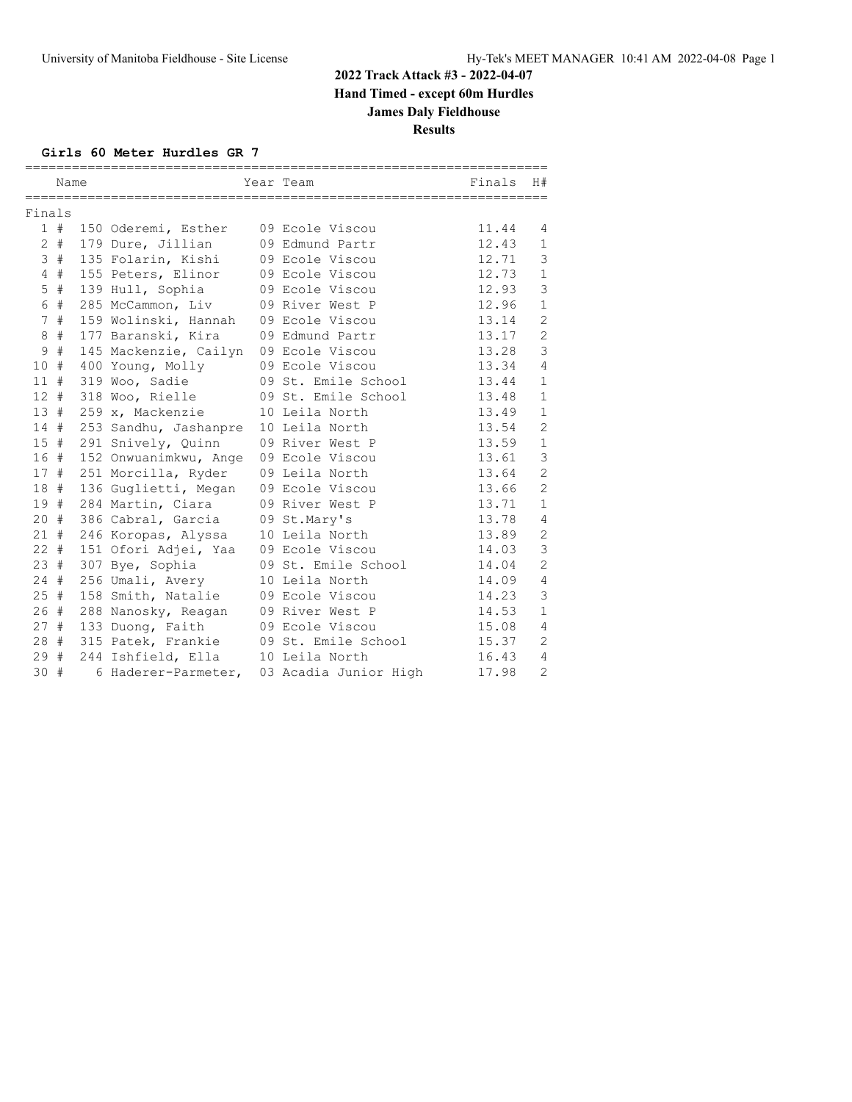#### **Girls 60 Meter Hurdles GR 7**

|                 | Name |                                       | Year Team             | Finals | H#             |
|-----------------|------|---------------------------------------|-----------------------|--------|----------------|
| Finals          |      |                                       |                       |        |                |
|                 | 1#   | 150 Oderemi, Esther                   | 09 Ecole Viscou       | 11.44  | 4              |
| 2               | #    | 179 Dure, Jillian                     | 09 Edmund Partr       | 12.43  | $\mathbf{1}$   |
| 3               | $\#$ | 135 Folarin, Kishi                    | 09 Ecole Viscou       | 12.71  | 3              |
| 4               | #    | 155 Peters, Elinor                    | 09 Ecole Viscou       | 12.73  | $\mathbf 1$    |
| 5               | #    | 139 Hull, Sophia                      | 09 Ecole Viscou       | 12.93  | 3              |
| 6               | $\#$ | 285 McCammon, Liv                     | 09 River West P       | 12.96  | $\mathbf{1}$   |
| 7               | $\#$ | 159 Wolinski, Hannah                  | 09 Ecole Viscou       | 13.14  | $\overline{2}$ |
| 8               | $\#$ | 177 Baranski, Kira                    | 09 Edmund Partr       | 13.17  | $\overline{c}$ |
| 9               | $\#$ | 145 Mackenzie, Cailyn 09 Ecole Viscou |                       | 13.28  | 3              |
| 10              | #    | 400 Young, Molly                      | 09 Ecole Viscou       | 13.34  | $\overline{4}$ |
| 11              | #    | 319 Woo, Sadie                        | 09 St. Emile School   | 13.44  | $\mathbf{1}$   |
| 12 <sup>2</sup> | #    | 318 Woo, Rielle                       | 09 St. Emile School   | 13.48  | $\mathbf{1}$   |
| 13              | #    | 259 x, Mackenzie                      | 10 Leila North        | 13.49  | $\mathbf 1$    |
| 14              | #    | 253 Sandhu, Jashanpre                 | 10 Leila North        | 13.54  | $\mathbf{2}$   |
| 15              | #    | 291 Snively, Quinn                    | 09 River West P       | 13.59  | $\mathbf{1}$   |
| 16              | #    | 152 Onwuanimkwu, Ange                 | 09 Ecole Viscou       | 13.61  | 3              |
| 17#             |      | 251 Morcilla, Ryder                   | 09 Leila North        | 13.64  | $\overline{c}$ |
| 18              | #    | 136 Guglietti, Megan                  | 09 Ecole Viscou       | 13.66  | $\overline{c}$ |
| 19              | #    | 284 Martin, Ciara                     | 09 River West P       | 13.71  | $\mathbf{1}$   |
| 20              | #    | 386 Cabral, Garcia                    | 09 St.Mary's          | 13.78  | $\overline{4}$ |
| 21#             |      | 246 Koropas, Alyssa                   | 10 Leila North        | 13.89  | $\sqrt{2}$     |
| $22 +$          |      | 151 Ofori Adjei, Yaa                  | 09 Ecole Viscou       | 14.03  | 3              |
| 23#             |      | 307 Bye, Sophia                       | 09 St. Emile School   | 14.04  | $\overline{c}$ |
| 24              | #    | 256 Umali, Avery                      | 10 Leila North        | 14.09  | $\overline{4}$ |
| 25              | #    | 158 Smith, Natalie                    | 09 Ecole Viscou       | 14.23  | 3              |
| 26              | #    | 288 Nanosky, Reagan                   | 09 River West P       | 14.53  | $\mathbf{1}$   |
| 27              | #    | 133 Duong, Faith                      | 09 Ecole Viscou       | 15.08  | $\overline{4}$ |
| 28#             |      | 315 Patek, Frankie                    | 09 St. Emile School   | 15.37  | $\mathbf{2}$   |
| 29              | #    | 244 Ishfield, Ella                    | 10 Leila North        | 16.43  | $\overline{4}$ |
| 30#             |      | 6 Haderer-Parmeter,                   | 03 Acadia Junior High | 17.98  | $\overline{2}$ |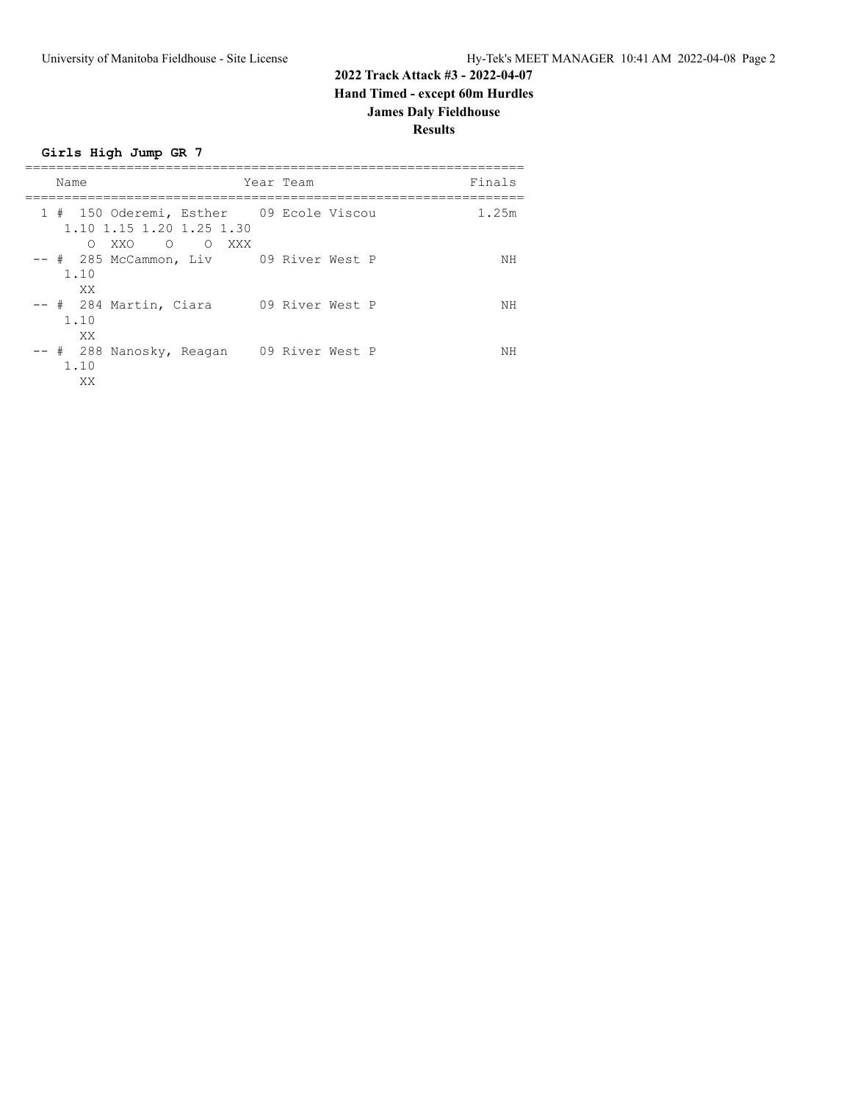**Girls High Jump GR 7**

| Name                                                                                                                               | Year Team       | Finals |
|------------------------------------------------------------------------------------------------------------------------------------|-----------------|--------|
| 1 # 150 Oderemi, Esther 09 Ecole Viscou<br>1.10 1.15 1.20 1.25 1.30<br>$\begin{matrix} 0 & 0 \end{matrix}$<br>XXO<br>XXX<br>$\cap$ |                 | 1.25m  |
| -- #  285 McCammon, Liv      09 River West P<br>1.10<br>XX.                                                                        |                 | ΝH     |
| -- # 284 Martin, Ciara<br>1.10<br>XX                                                                                               | 09 River West P | ΝH     |
| -- # 288 Nanosky, Reagan<br>1.10<br>XX                                                                                             | 09 River West P | NΗ     |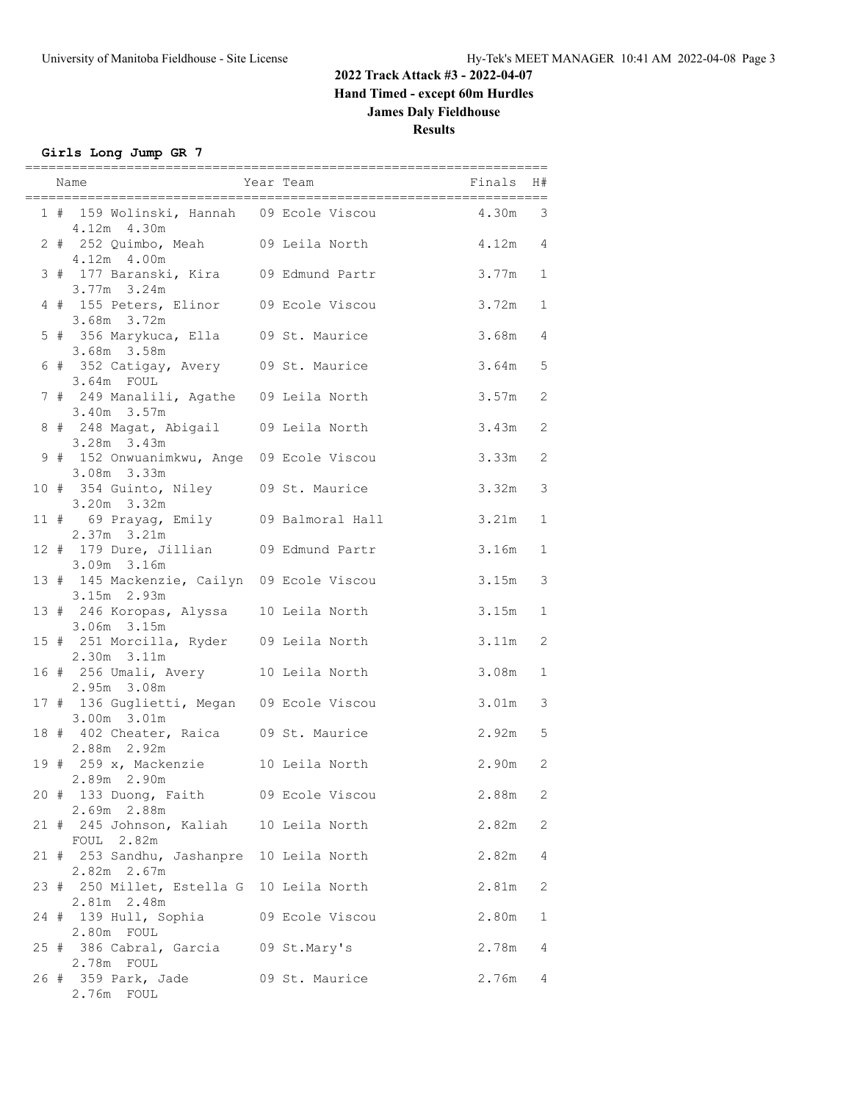#### **Girls Long Jump GR 7**

|  | ==========                                                                  | ===========<br>-----------------------           |           |                |
|--|-----------------------------------------------------------------------------|--------------------------------------------------|-----------|----------------|
|  | 4.12m 4.30m                                                                 | 1 # 159 Wolinski, Hannah 09 Ecole Viscou 4.30m 3 |           |                |
|  | 2 # 252 Quimbo, Meah 09 Leila North<br>4.12m 4.00m                          |                                                  | $4.12m$ 4 |                |
|  | 3 # 177 Baranski, Kira 09 Edmund Partr<br>3.77m 3.24m                       |                                                  | $3.77m$ 1 |                |
|  | 4 # 155 Peters, Elinor 09 Ecole Viscou<br>3.68m 3.72m                       |                                                  | $3.72m$ 1 |                |
|  | 5 # 356 Marykuca, Ella 09 St. Maurice<br>3.68m 3.58m                        |                                                  | 3.68m 4   |                |
|  | 6 # 352 Catigay, Avery 09 St. Maurice<br>3.64m FOUL                         |                                                  | $3.64m$ 5 |                |
|  | 7 # 249 Manalili, Agathe 09 Leila North<br>3.40m 3.57m                      |                                                  | 3.57m     | 2              |
|  | 8 # 248 Magat, Abigail 09 Leila North<br>3.28m 3.43m                        |                                                  | 3.43m     | 2              |
|  | 9 # 152 Onwuanimkwu, Ange 09 Ecole Viscou<br>3.08m 3.33m                    |                                                  | 3.33m     | 2              |
|  | 10 # 354 Guinto, Niley 09 St. Maurice<br>3.20m 3.32m                        |                                                  | 3.32m     | 3              |
|  | 11 # 69 Prayag, Emily 09 Balmoral Hall                                      |                                                  | 3.21m     | 1              |
|  | 2.37m 3.21m<br>12 # 179 Dure, Jillian 09 Edmund Partr                       |                                                  | 3.16m     | $\mathbf{1}$   |
|  | 3.09m 3.16m<br>13 # 145 Mackenzie, Cailyn 09 Ecole Viscou                   |                                                  | 3.15m     | $\mathfrak{Z}$ |
|  | $3.15m$ $2.93m$<br>13 # 246 Koropas, Alyssa 10 Leila North                  |                                                  | 3.15m     | $\mathbf{1}$   |
|  | $3.06m$ $3.15m$<br>15 # 251 Morcilla, Ryder 09 Leila North<br>2.30m 3.11m   |                                                  | 3.11m     | $\mathbf{2}$   |
|  | 16 # 256 Umali, Avery 10 Leila North                                        |                                                  | 3.08m     | $\mathbf{1}$   |
|  | 2.95m 3.08m<br>17 # 136 Guglietti, Megan 09 Ecole Viscou<br>$3.00m$ $3.01m$ |                                                  | 3.01m     | 3              |
|  | 18 # 402 Cheater, Raica 09 St. Maurice<br>2.88m 2.92m                       |                                                  | $2.92m$ 5 |                |
|  | 19 # 259 x, Mackenzie 10 Leila North<br>2.89m 2.90m                         |                                                  | $2.90m$ 2 |                |
|  | 20 # 133 Duong, Faith 09 Ecole Viscou<br>2.69m 2.88m                        |                                                  | 2.88m     | 2              |
|  | 21 # 245 Johnson, Kaliah 10 Leila North<br>FOUL 2.82m                       |                                                  | 2.82m     | 2              |
|  | 21 # 253 Sandhu, Jashanpre 10 Leila North<br>$2.82m$ $2.67m$                |                                                  | 2.82m     | 4              |
|  | 23 # 250 Millet, Estella G 10 Leila North<br>2.81m 2.48m                    |                                                  | 2.81m     | 2              |
|  | 24 # 139 Hull, Sophia                                                       | 09 Ecole Viscou                                  | 2.80m     | 1              |
|  | 2.80m FOUL<br>25 # 386 Cabral, Garcia<br>2.78m FOUL                         | 09 St.Mary's                                     | 2.78m     | 4              |
|  | 26 # 359 Park, Jade<br>2.76m FOUL                                           | 09 St. Maurice                                   | 2.76m     | 4              |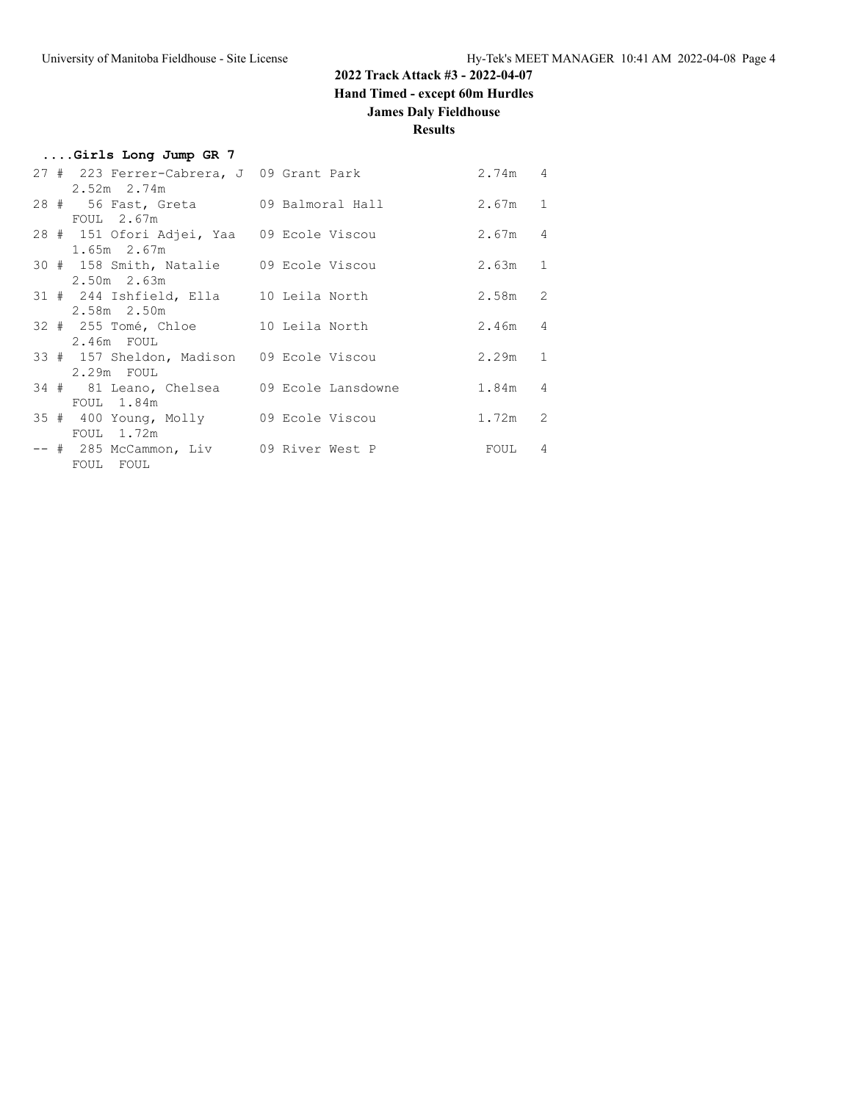### **2022 Track Attack #3 - 2022-04-07**

**Hand Timed - except 60m Hurdles**

### **James Daly Fieldhouse**

| Girls Long Jump GR 7                                        |           |                |
|-------------------------------------------------------------|-----------|----------------|
| 27 # 223 Ferrer-Cabrera, J 09 Grant Park<br>$2.52m$ $2.74m$ | 2.74m 4   |                |
| 28 # 56 Fast, Greta 09 Balmoral Hall                        | $2.67m$ 1 |                |
| $FOUL$ 2.67m<br>28 # 151 Ofori Adjei, Yaa 09 Ecole Viscou   | 2.67m 4   |                |
| $1.65m$ $2.67m$<br>30 # 158 Smith, Natalie 09 Ecole Viscou  | $2.63m$ 1 |                |
| $2.50m$ 2.63m<br>31 # 244 Ishfield, Ella 10 Leila North     | $2.58m$ 2 |                |
| 2.58m 2.50m<br>32 # 255 Tomé, Chloe 10 Leila North          | $2.46m$ 4 |                |
| 2.46m FOUL<br>33 # 157 Sheldon, Madison 09 Ecole Viscou     | 2.29m 1   |                |
| $2.29m$ FOUL<br>34 # 81 Leano, Chelsea 09 Ecole Lansdowne   | 1.84m 4   |                |
| FOUL 1.84m<br>35 # 400 Young, Molly 09 Ecole Viscou         | $1.72m$ 2 |                |
| FOUL 1.72m<br>-- # 285 McCammon, Liv 09 River West P        | FOUL      | $\overline{4}$ |
| FOUL FOUL                                                   |           |                |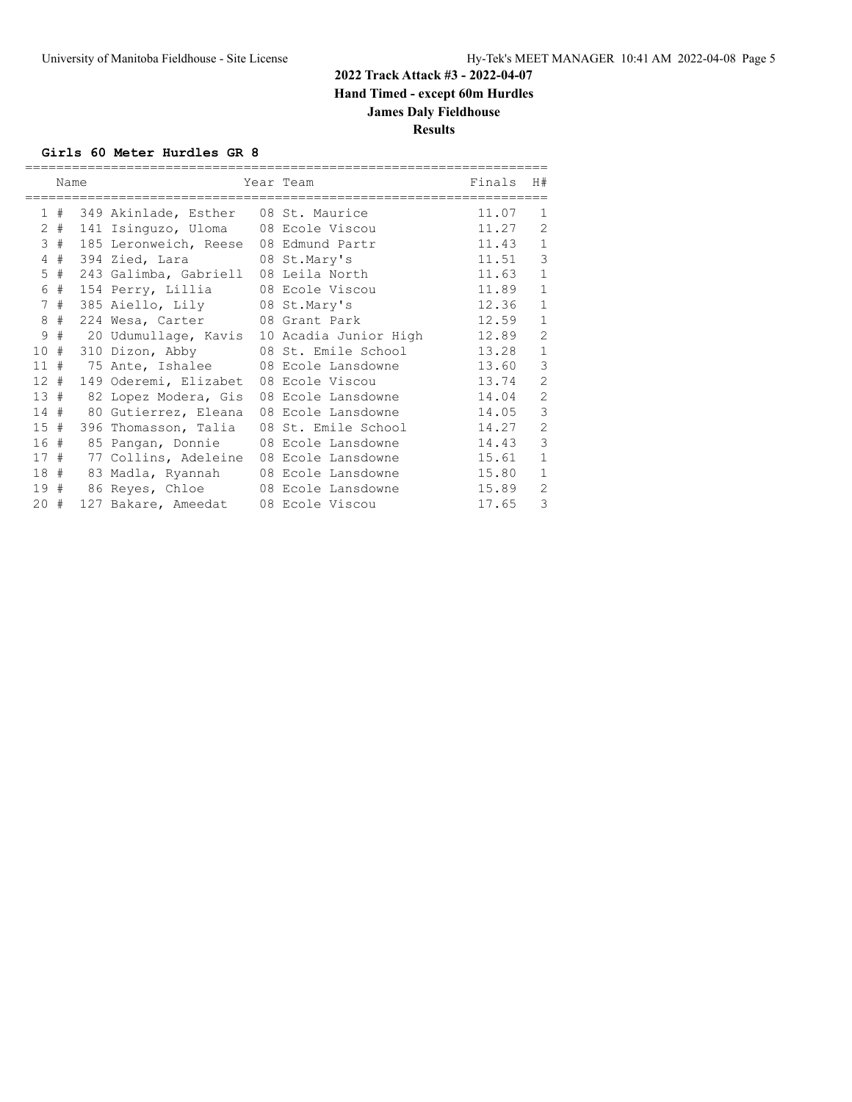#### **Girls 60 Meter Hurdles GR 8**

|                      | Name |                                      | Year Team             | Finals | H#             |
|----------------------|------|--------------------------------------|-----------------------|--------|----------------|
|                      |      |                                      |                       |        |                |
| 1.                   | #    | 349 Akinlade, Esther                 | 08 St. Maurice        | 11.07  | 1              |
| $\mathbf{2}^{\circ}$ | #    | 141 Isinguzo, Uloma                  | 08 Ecole Viscou       | 11.27  | $\overline{2}$ |
| 3                    | #    | 185 Leronweich, Reese                | 08 Edmund Partr       | 11.43  | $\mathbf{1}$   |
| 4                    | #    | 394 Zied, Lara 08 St. Mary's         |                       | 11.51  | 3              |
| 5                    | #    | 243 Galimba, Gabriell 08 Leila North |                       | 11.63  | $\mathbf{1}$   |
| 6                    | #    | 154 Perry, Lillia                    | 08 Ecole Viscou       | 11.89  | $\mathbf{1}$   |
| 7                    | #    | 385 Aiello, Lily 08 St. Mary's       |                       | 12.36  | $\mathbf{1}$   |
| 8                    | #    | 224 Wesa, Carter 08 Grant Park       |                       | 12.59  | $\mathbf{1}$   |
| 9                    | #    | 20 Udumullage, Kavis                 | 10 Acadia Junior High | 12.89  | $\overline{2}$ |
| 10                   | #    | 310 Dizon, Abby                      | 08 St. Emile School   | 13.28  | $\mathbf{1}$   |
| 11                   | #    | 75 Ante, Ishalee 608 Ecole Lansdowne |                       | 13.60  | 3              |
| 12                   | #    | 149 Oderemi, Elizabet                | 08 Ecole Viscou       | 13.74  | $\overline{2}$ |
| 13#                  |      | 82 Lopez Modera, Gis                 | 08 Ecole Lansdowne    | 14.04  | $\overline{2}$ |
| 14#                  |      | 80 Gutierrez, Eleana                 | 08 Ecole Lansdowne    | 14.05  | 3              |
| 15#                  |      | 396 Thomasson, Talia                 | 08 St. Emile School   | 14.27  | $\overline{2}$ |
| 16#                  |      | 85 Pangan, Donnie                    | 08 Ecole Lansdowne    | 14.43  | 3              |
| 17#                  |      | 77 Collins, Adeleine                 | 08 Ecole Lansdowne    | 15.61  | $\mathbf 1$    |
| 18#                  |      | 83 Madla, Ryannah                    | 08 Ecole Lansdowne    | 15.80  | $\mathbf{1}$   |
| 19#                  |      | 86 Reyes, Chloe                      | 08 Ecole Lansdowne    | 15.89  | $\overline{2}$ |
| $20 +$               |      | 127 Bakare, Ameedat                  | 08 Ecole Viscou       | 17.65  | 3              |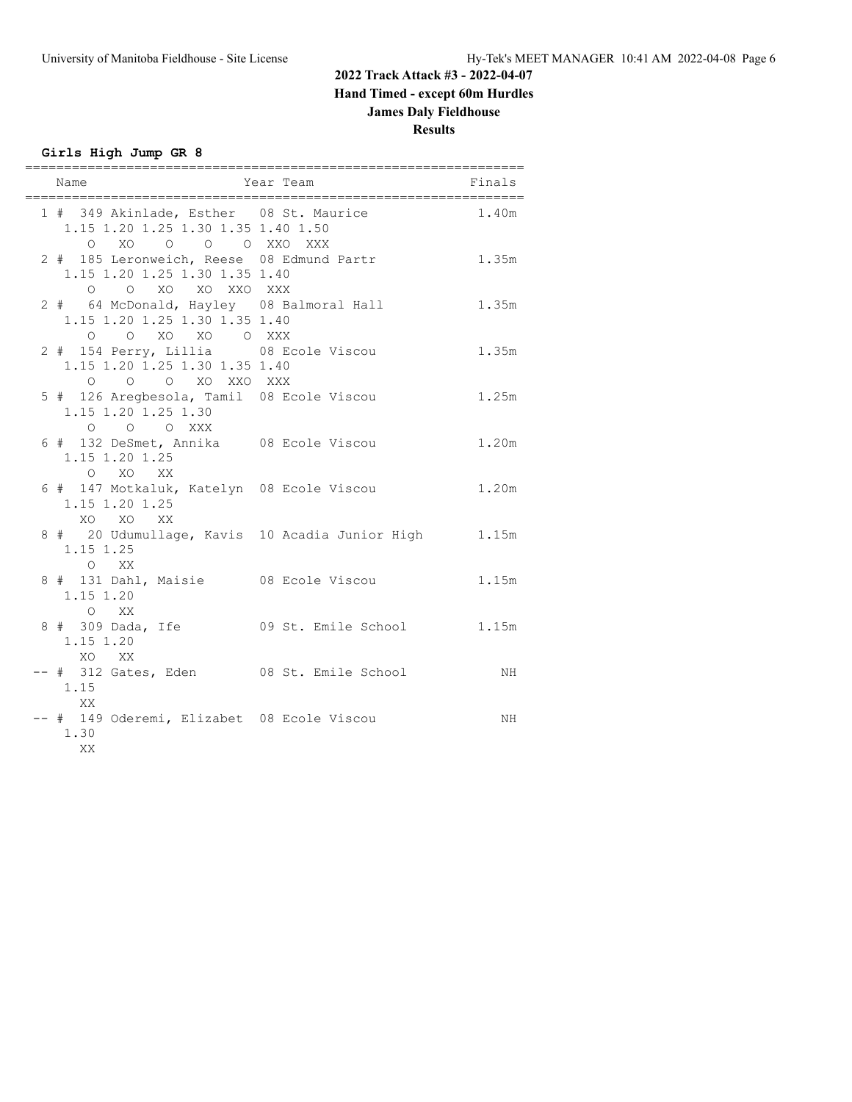**Girls High Jump GR 8**

| Name                                                                                                | Year Team                                      | Finals |
|-----------------------------------------------------------------------------------------------------|------------------------------------------------|--------|
| 1 # 349 Akinlade, Esther 08 St. Maurice<br>1.15 1.20 1.25 1.30 1.35 1.40 1.50<br>O XO O O O XXO XXX |                                                | 1.40m  |
| 2 # 185 Leronweich, Reese 08 Edmund Partr<br>1.15 1.20 1.25 1.30 1.35 1.40<br>O O XO XO XXO XXX     |                                                | 1.35m  |
| 2 # 64 McDonald, Hayley 08 Balmoral Hall<br>1.15 1.20 1.25 1.30 1.35 1.40<br>O O XO XO O XXX        |                                                | 1.35m  |
| 2 # 154 Perry, Lillia 08 Ecole Viscou<br>1.15 1.20 1.25 1.30 1.35 1.40<br>O O O XO XXO XXX          |                                                | 1.35m  |
| 5 # 126 Aregbesola, Tamil 08 Ecole Viscou<br>1.15 1.20 1.25 1.30<br>O O O XXX                       |                                                | 1.25m  |
| 6 # 132 DeSmet, Annika 08 Ecole Viscou<br>1.15 1.20 1.25<br>O XO XX                                 |                                                | 1.20m  |
| 6 # 147 Motkaluk, Katelyn 08 Ecole Viscou<br>1.15 1.20 1.25<br>XO XO XX                             |                                                | 1.20m  |
| 1.15 1.25<br>O XX                                                                                   | 8 # 20 Udumullage, Kavis 10 Acadia Junior High | 1.15m  |
| 8 # 131 Dahl, Maisie 08 Ecole Viscou<br>1.15 1.20<br>O XX                                           |                                                | 1.15m  |
| 1.15 1.20<br>XO XX                                                                                  | 8 # 309 Dada, Ife 69 St. Emile School          | 1.15m  |
| -- # 312 Gates, Eden 08 St. Emile School<br>1.15<br>XX                                              |                                                | NH     |
| -- # 149 Oderemi, Elizabet 08 Ecole Viscou<br>1.30<br>XX                                            |                                                | NH     |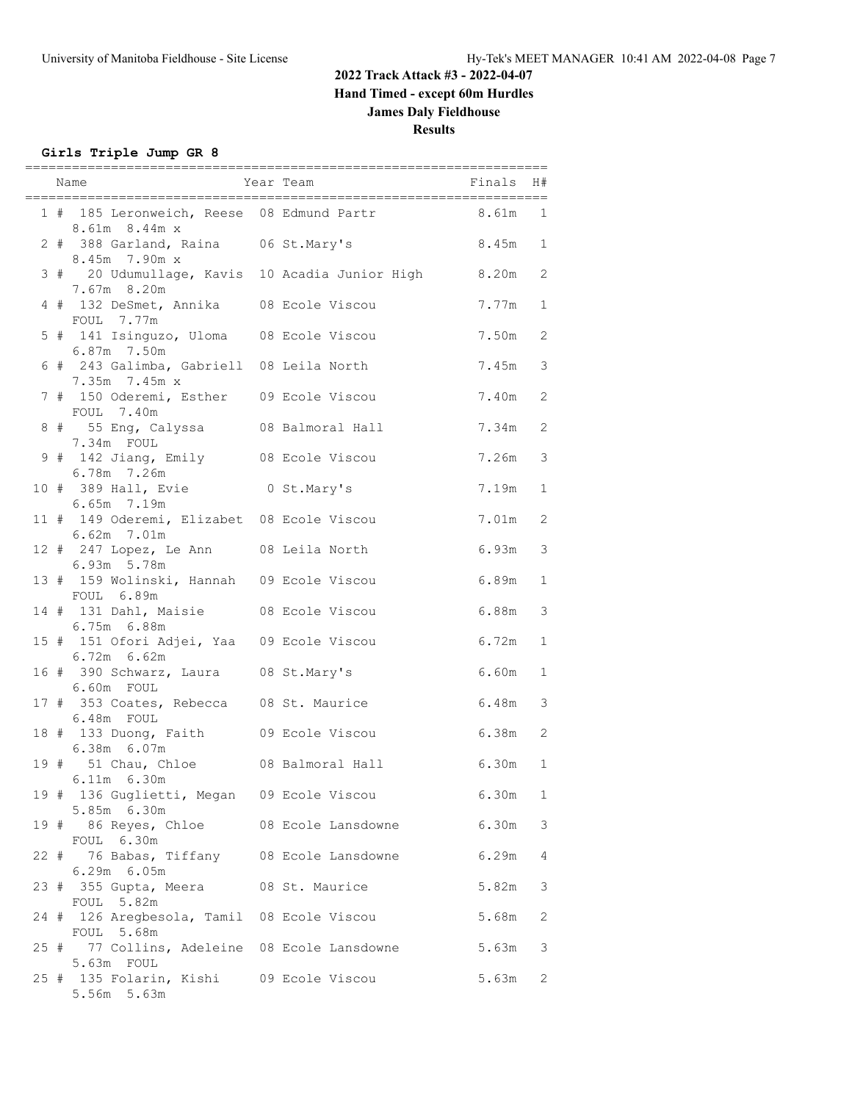### **Girls Triple Jump GR 8**

|  | =========<br>Year Team<br>Name                                | =========<br>====================<br>Finals       |           | H#           |
|--|---------------------------------------------------------------|---------------------------------------------------|-----------|--------------|
|  | 8.61m 8.44m x                                                 | 1 # 185 Leronweich, Reese 08 Edmund Partr 6.61m 1 |           |              |
|  | 2 # 388 Garland, Raina 06 St.Mary's<br>8.45m 7.90m x          |                                                   | $8.45m$ 1 |              |
|  | 3 # 20 Udumullage, Kavis 10 Acadia Junior High<br>7.67m 8.20m |                                                   | 8.20m     | 2            |
|  | 4 # 132 DeSmet, Annika 08 Ecole Viscou<br>FOUL 7.77m          |                                                   | 7.77m 1   |              |
|  | 5 # 141 Isinguzo, Uloma 08 Ecole Viscou<br>6.87m 7.50m        |                                                   | 7.50m     | 2            |
|  | 6 # 243 Galimba, Gabriell 08 Leila North<br>7.35m 7.45m x     |                                                   | 7.45m     | 3            |
|  | 7 # 150 Oderemi, Esther 09 Ecole Viscou<br>FOUL 7.40m         |                                                   | 7.40m     | 2            |
|  | 8 # 55 Eng, Calyssa 08 Balmoral Hall<br>7.34m FOUL            |                                                   | 7.34m     | 2            |
|  | 9 # 142 Jiang, Emily 08 Ecole Viscou<br>6.78m 7.26m           |                                                   | 7.26m     | 3            |
|  | 10 # 389 Hall, Evie<br>6.65m 7.19m                            | 0 St.Mary's                                       | 7.19m     | 1            |
|  | 11 # 149 Oderemi, Elizabet 08 Ecole Viscou<br>6.62m 7.01m     |                                                   | 7.01m     | 2            |
|  | 12 # 247 Lopez, Le Ann 08 Leila North<br>6.93m 5.78m          |                                                   | 6.93m     | 3            |
|  | 13 # 159 Wolinski, Hannah 09 Ecole Viscou<br>FOUL 6.89m       |                                                   | 6.89m     | 1            |
|  | 14 # 131 Dahl, Maisie 08 Ecole Viscou<br>6.75m 6.88m          |                                                   | 6.88m     | 3            |
|  | 15 # 151 Ofori Adjei, Yaa 09 Ecole Viscou<br>6.72m 6.62m      |                                                   | 6.72m     | 1            |
|  | 16 # 390 Schwarz, Laura 08 St.Mary's<br>6.60m FOUL            |                                                   | 6.60m     | -1           |
|  | 17 # 353 Coates, Rebecca 08 St. Maurice<br>6.48m FOUL         |                                                   | 6.48m     | 3            |
|  | 18 # 133 Duong, Faith 09 Ecole Viscou<br>6.38m 6.07m          |                                                   | 6.38m     | 2            |
|  | 19 # 51 Chau, Chloe 08 Balmoral Hall<br>6.11m 6.30m           |                                                   | $6.30m$ 1 |              |
|  | 19 # 136 Guglietti, Megan 09 Ecole Viscou<br>5.85m 6.30m      |                                                   | 6.30m     | $\mathbf{1}$ |
|  | 19 # 86 Reyes, Chloe<br>FOUL 6.30m                            | 08 Ecole Lansdowne                                | 6.30m     | 3            |
|  | 22 # 76 Babas, Tiffany 08 Ecole Lansdowne<br>$6.29m$ $6.05m$  |                                                   | 6.29m     | 4            |
|  | 23 # 355 Gupta, Meera<br>FOUL 5.82m                           | 08 St. Maurice                                    | 5.82m     | 3            |
|  | 24 # 126 Aregbesola, Tamil 08 Ecole Viscou<br>FOUL 5.68m      |                                                   | 5.68m     | 2            |
|  | 25 # 77 Collins, Adeleine 08 Ecole Lansdowne<br>5.63m FOUL    |                                                   | 5.63m     | 3            |
|  | 25 # 135 Folarin, Kishi 09 Ecole Viscou<br>5.56m 5.63m        |                                                   | 5.63m     | 2            |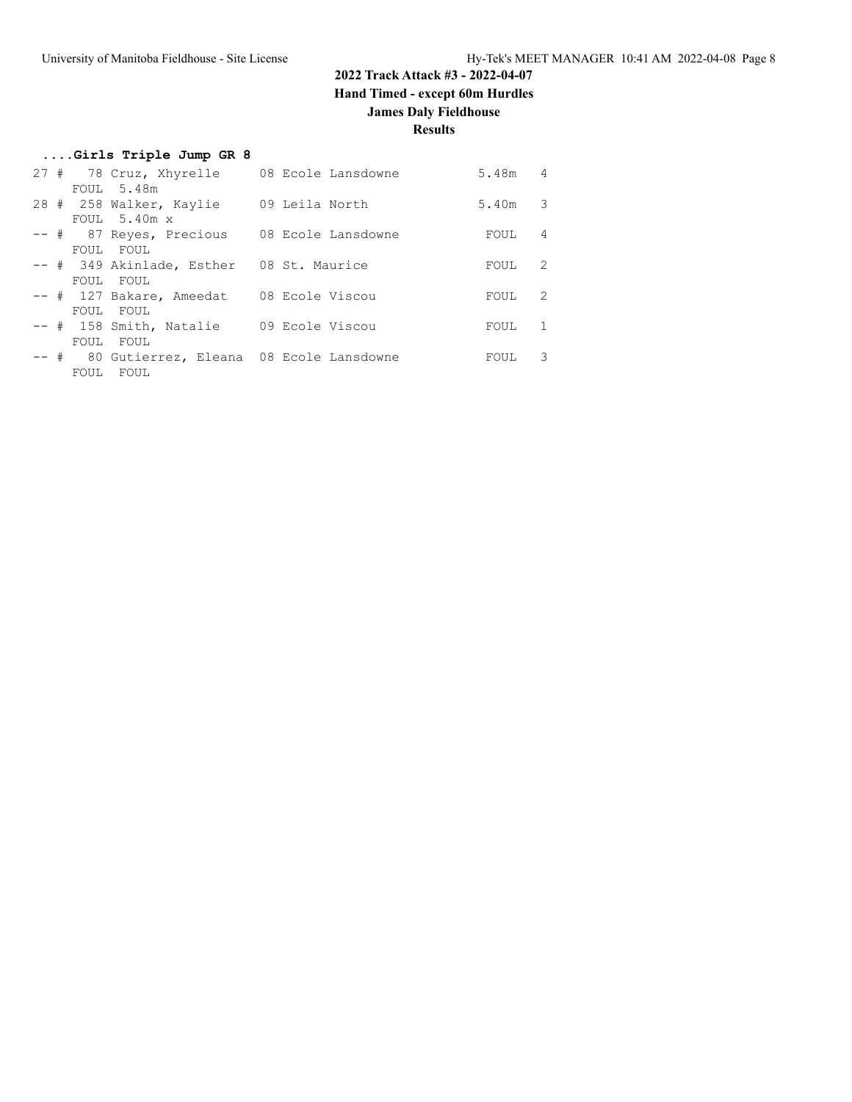## **2022 Track Attack #3 - 2022-04-07 Hand Timed - except 60m Hurdles**

### **James Daly Fieldhouse**

| Girls Triple Jump GR 8 |  |  |  |  |  |
|------------------------|--|--|--|--|--|
|------------------------|--|--|--|--|--|

|  |             | 27 # 78 Cruz, Xhyrelle 08 Ecole Lansdowne    |                | 5.48m     | 4 |
|--|-------------|----------------------------------------------|----------------|-----------|---|
|  |             | FOUL 5.48m                                   |                |           |   |
|  |             | 28 # 258 Walker, Kaylie                      | 09 Leila North | $5.40m$ 3 |   |
|  |             | FOUL $5.40m \times$                          |                |           |   |
|  |             | -- # 87 Reyes, Precious 08 Ecole Lansdowne   |                | FOUL      | 4 |
|  |             | FOUL FOUL                                    |                |           |   |
|  |             | -- # 349 Akinlade, Esther 08 St. Maurice     |                | FOUL      | 2 |
|  |             | FOUL FOUL                                    |                |           |   |
|  |             | -- # 127 Bakare, Ameedat 08 Ecole Viscou     |                | FOUL      | 2 |
|  |             | FOUL FOUL                                    |                |           |   |
|  |             | -- # 158 Smith, Natalie 09 Ecole Viscou      |                | FOUL      | 1 |
|  | FOUL        | FOUL                                         |                |           |   |
|  |             | -- # 80 Gutierrez, Eleana 08 Ecole Lansdowne |                | FOUL      | 3 |
|  | <b>FOUL</b> | FOUL                                         |                |           |   |
|  |             |                                              |                |           |   |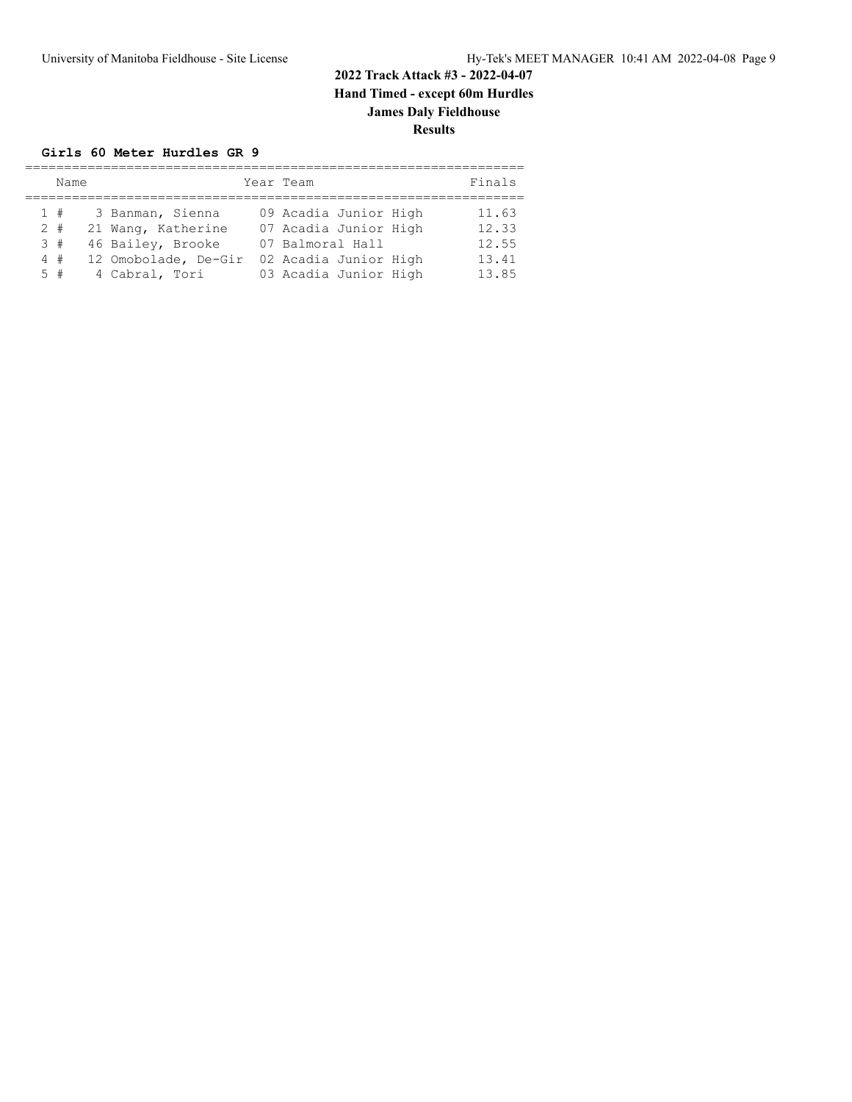#### **Girls 60 Meter Hurdles GR 9**

| Name                          |                                                                                                       | Year Team                                                                                                            | Finals                                    |
|-------------------------------|-------------------------------------------------------------------------------------------------------|----------------------------------------------------------------------------------------------------------------------|-------------------------------------------|
| 1#<br>$2 +$<br>3#<br>4#<br>5# | 3 Banman, Sienna<br>21 Wang, Katherine<br>46 Bailey, Brooke<br>12 Omobolade, De-Gir<br>4 Cabral, Tori | 09 Acadia Junior High<br>07 Acadia Junior High<br>07 Balmoral Hall<br>02 Acadia Junior High<br>03 Acadia Junior High | 11.63<br>12.33<br>12.55<br>13.41<br>13.85 |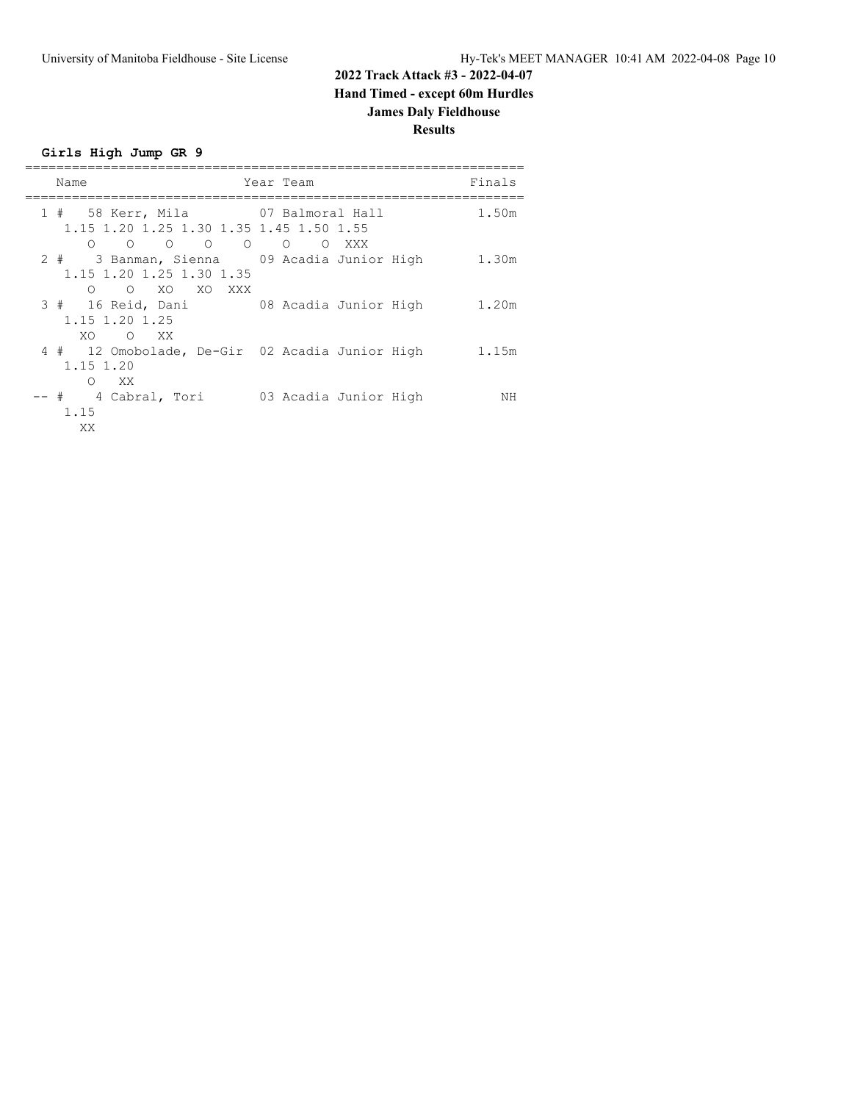**Girls High Jump GR 9**

| Name                                                                                                                            | Year Team                  | Finals |
|---------------------------------------------------------------------------------------------------------------------------------|----------------------------|--------|
| 1 # 58 Kerr, Mila 67 Balmoral Hall<br>1.15 1.20 1.25 1.30 1.35 1.45 1.50 1.55                                                   |                            | 1.50m  |
| $\circ$ $\circ$<br>$\circ$<br>$\circ$<br>$\Omega$<br>2 # 3 Banman, Sienna     09 Acadia Junior High<br>1.15 1.20 1.25 1.30 1.35 | $\circ$<br>$\Omega$<br>XXX | 1.30m  |
| O O XO XO XXX<br>3 # 16 Reid, Dani 08 Acadia Junior High<br>1.15 1.20 1.25                                                      |                            | 1.20m  |
| XO.<br>O XX<br>4 # 12 Omobolade, De-Gir 02 Acadia Junior High<br>1.15 1.20                                                      |                            | 1.15m  |
| $\bigcirc$<br>XX.<br>-- # 4 Cabral, Tori<br>1.15                                                                                | 03 Acadia Junior High      | ΝH     |
| XX.                                                                                                                             |                            |        |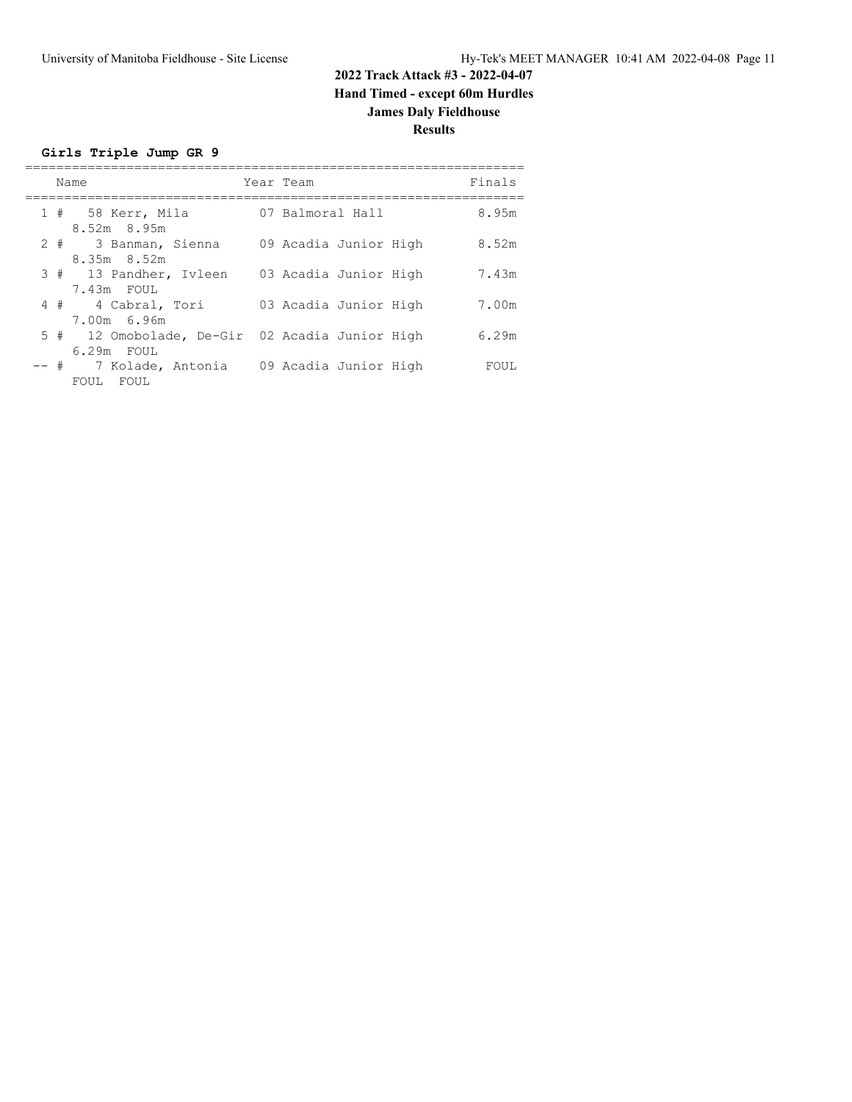**Girls Triple Jump GR 9**

|  | Name                                                         | Year Team             | Finals |
|--|--------------------------------------------------------------|-----------------------|--------|
|  | 1 # 58 Kerr, Mila<br>$8.52m$ $8.95m$                         | 07 Balmoral Hall      | 8.95m  |
|  | 2 # 3 Banman, Sienna<br>8.35m 8.52m                          | 09 Acadia Junior High | 8.52m  |
|  | 3 # 13 Pandher, Ivleen<br>7.43m FOUL                         | 03 Acadia Junior High | 7.43m  |
|  | 4 # 4 Cabral, Tori<br>7.00m 6.96m                            | 03 Acadia Junior High | 7.00m  |
|  | 5 # 12 Omobolade, De-Gir 02 Acadia Junior High<br>6.29m FOUL |                       | 6.29m  |
|  | -- # 7 Kolade, Antonia<br>FOUL FOUL                          | 09 Acadia Junior High | FOUL   |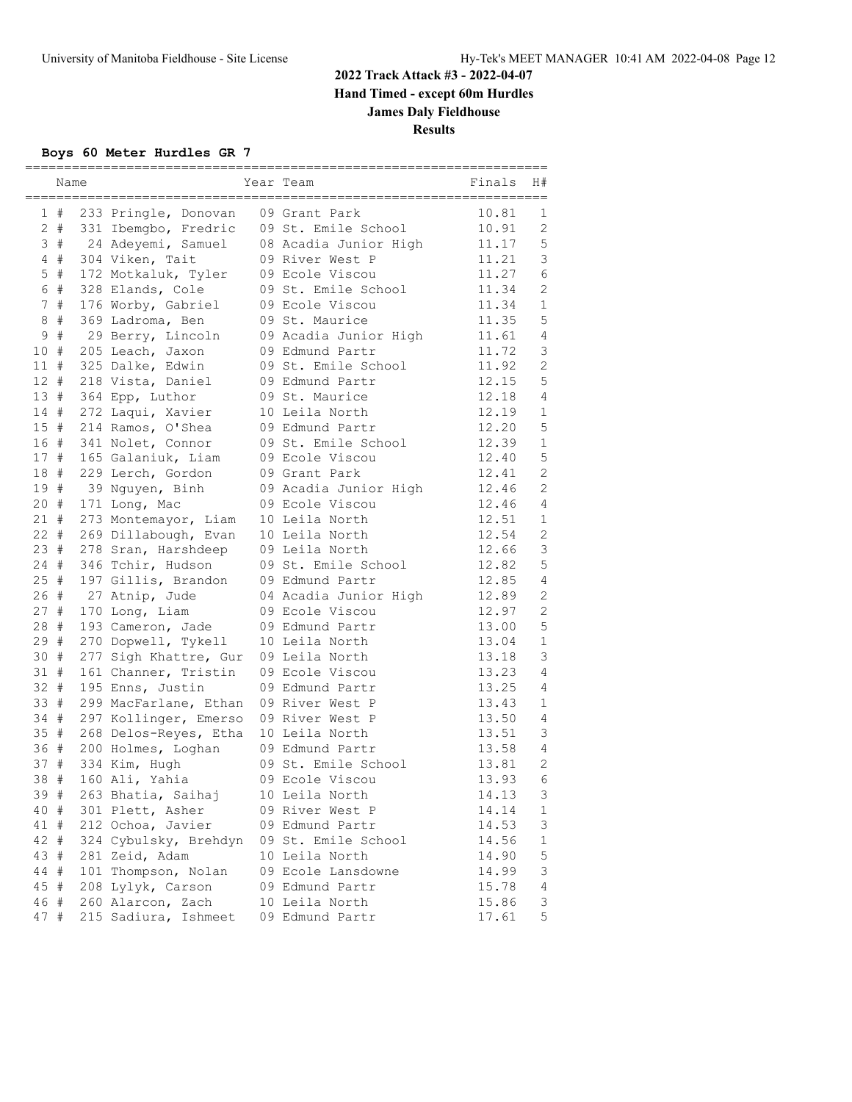#### **Boys 60 Meter Hurdles GR 7**

|                 | Name  |                       | Year Team             | Finals | H#             |
|-----------------|-------|-----------------------|-----------------------|--------|----------------|
| $\mathbf{1}$    | #     | 233 Pringle, Donovan  | 09 Grant Park         | 10.81  | 1              |
|                 | $2 +$ | 331 Ibemgbo, Fredric  | 09 St. Emile School   | 10.91  | 2              |
|                 | 3#    | 24 Adeyemi, Samuel    | 08 Acadia Junior High | 11.17  | 5              |
| $4\overline{ }$ | #     | 304 Viken, Tait       | 09 River West P       | 11.21  | 3              |
| 5               | $\#$  | 172 Motkaluk, Tyler   | 09 Ecole Viscou       | 11.27  | 6              |
| 6               | $\#$  | 328 Elands, Cole      | 09 St. Emile School   | 11.34  | 2              |
| 7               | $\#$  | 176 Worby, Gabriel    | 09 Ecole Viscou       | 11.34  | $\mathbf 1$    |
| 8               | $\#$  | 369 Ladroma, Ben      | 09 St. Maurice        | 11.35  | 5              |
| 9               | $\#$  | 29 Berry, Lincoln     | 09 Acadia Junior High | 11.61  | $\overline{4}$ |
| 10              | #     | 205 Leach, Jaxon      | 09 Edmund Partr       | 11.72  | 3              |
| 11              | #     | 325 Dalke, Edwin      | 09 St. Emile School   | 11.92  | $\overline{c}$ |
| 12              | #     | 218 Vista, Daniel     | 09 Edmund Partr       | 12.15  | 5              |
| 13              | #     | 364 Epp, Luthor       | 09 St. Maurice        | 12.18  | $\overline{4}$ |
| 14              | $\#$  | 272 Laqui, Xavier     | 10 Leila North        | 12.19  | $\mathbf 1$    |
| 15#             |       | 214 Ramos, O'Shea     | 09 Edmund Partr       | 12.20  | 5              |
| 16 #            |       | 341 Nolet, Connor     | 09 St. Emile School   | 12.39  | $\mathbf 1$    |
| 17#             |       | 165 Galaniuk, Liam    | 09 Ecole Viscou       | 12.40  | 5              |
| 18              | #     | 229 Lerch, Gordon     | 09 Grant Park         | 12.41  | $\overline{2}$ |
| 19              | #     | 39 Nguyen, Binh       | 09 Acadia Junior High | 12.46  | $\overline{2}$ |
| 20#             |       | 171 Long, Mac         | 09 Ecole Viscou       | 12.46  | 4              |
| 21#             |       | 273 Montemayor, Liam  | 10 Leila North        | 12.51  | $\mathbf 1$    |
| 22 #            |       | 269 Dillabough, Evan  | 10 Leila North        | 12.54  | $\mathbf{2}$   |
| 23#             |       | 278 Sran, Harshdeep   | 09 Leila North        | 12.66  | 3              |
| 24              | #     | 346 Tchir, Hudson     | 09 St. Emile School   | 12.82  | 5              |
| 25              | #     | 197 Gillis, Brandon   | 09 Edmund Partr       | 12.85  | $\overline{4}$ |
| 26 #            |       | 27 Atnip, Jude        | 04 Acadia Junior High | 12.89  | $\overline{2}$ |
| 27#             |       | 170 Long, Liam        | 09 Ecole Viscou       | 12.97  | $\mathbf{2}$   |
| 28              | #     | 193 Cameron, Jade     | 09 Edmund Partr       | 13.00  | 5              |
| 29              | #     | 270 Dopwell, Tykell   | 10 Leila North        | 13.04  | $\mathbf 1$    |
| 30              | #     | 277 Sigh Khattre, Gur | 09 Leila North        | 13.18  | 3              |
| 31              | #     | 161 Channer, Tristin  | 09 Ecole Viscou       | 13.23  | $\overline{4}$ |
| 32 #            |       | 195 Enns, Justin      | 09 Edmund Partr       | 13.25  | 4              |
| 33 #            |       | 299 MacFarlane, Ethan | 09 River West P       | 13.43  | $\mathbf 1$    |
| 34 #            |       | 297 Kollinger, Emerso | 09 River West P       | 13.50  | $\overline{4}$ |
| 35#             |       | 268 Delos-Reyes, Etha | 10 Leila North        | 13.51  | 3              |
| 36              | #     | 200 Holmes, Loghan    | 09 Edmund Partr       | 13.58  | 4              |
| 37              | #     | 334 Kim, Hugh         | 09 St. Emile School   | 13.81  | $\mathbf{2}$   |
| 38              | #     | 160 Ali, Yahia        | 09 Ecole Viscou       | 13.93  | 6              |
| 39 #            |       | 263 Bhatia, Saihaj    | 10 Leila North        | 14.13  | 3              |
| 40 #            |       | 301 Plett, Asher      | 09 River West P       | 14.14  | 1              |
| 41 #            |       | 212 Ochoa, Javier     | 09 Edmund Partr       | 14.53  | 3              |
| 42              | #     | 324 Cybulsky, Brehdyn | 09 St. Emile School   | 14.56  | $\mathbf 1$    |
| 43              | #     | 281 Zeid, Adam        | 10 Leila North        | 14.90  | 5              |
| 44 #            |       | 101 Thompson, Nolan   | 09 Ecole Lansdowne    | 14.99  | 3              |
| 45 #            |       | 208 Lylyk, Carson     | 09 Edmund Partr       | 15.78  | 4              |
| 46 #            |       | 260 Alarcon, Zach     | 10 Leila North        | 15.86  | 3              |
| 47 #            |       | 215 Sadiura, Ishmeet  | 09 Edmund Partr       | 17.61  | 5              |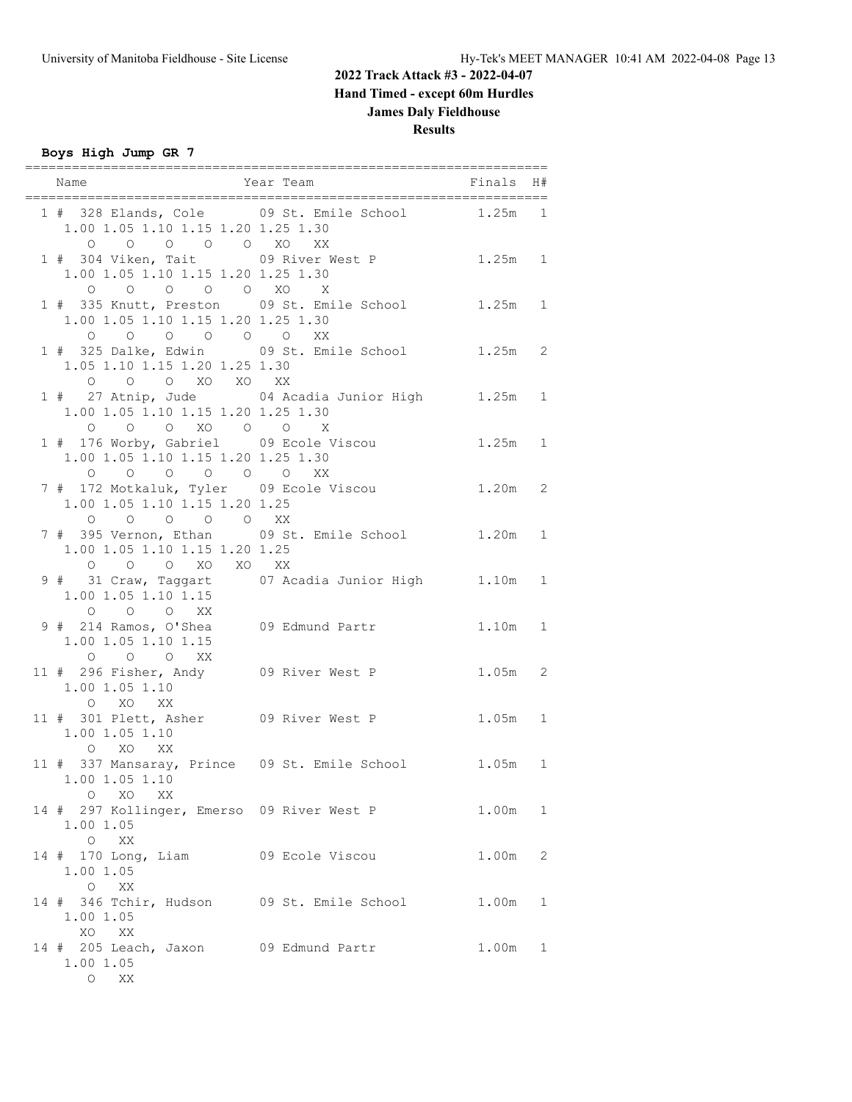**Boys High Jump GR 7**

| Name                                                                                           | Year Team<br>Finals                                |           | H#           |
|------------------------------------------------------------------------------------------------|----------------------------------------------------|-----------|--------------|
| 1.00 1.05 1.10 1.15 1.20 1.25 1.30<br>0 0 0 0 0 XO XX                                          | 1 # 328 Elands, Cole 09 St. Emile School 1.25m 1   |           |              |
| 1.00 1.05 1.10 1.15 1.20 1.25 1.30<br>0 0 0 0 0 XO X                                           | 1 # 304 Viken, Tait 09 River West P 1.25m 1        |           |              |
| 1.00 1.05 1.10 1.15 1.20 1.25 1.30<br>0 0 0 0 0 0 XX                                           | 1 # 335 Knutt, Preston 09 St. Emile School 1.25m 1 |           |              |
| 1.05 1.10 1.15 1.20 1.25 1.30<br>0 0 0 XO XO XX                                                | 1 # 325 Dalke, Edwin 09 St. Emile School 1.25m 2   |           |              |
| 1.00 1.05 1.10 1.15 1.20 1.25 1.30<br>0 0 0 XO 0 0 X                                           | 1 # 27 Atnip, Jude 04 Acadia Junior High 1.25m 1   |           |              |
| 1 # 176 Worby, Gabriel 09 Ecole Viscou<br>1.00 1.05 1.10 1.15 1.20 1.25 1.30<br>0 0 0 0 0 0 XX |                                                    | $1.25m$ 1 |              |
| 1.00 1.05 1.10 1.15 1.20 1.25<br>0 0 0 0 0 XX                                                  | 7 # 172 Motkaluk, Tyler 09 Ecole Viscou            | $1.20m$ 2 |              |
| 1.00 1.05 1.10 1.15 1.20 1.25                                                                  | 7 # 395 Vernon, Ethan 09 St. Emile School 1.20m 1  |           |              |
| O O O XO XO XX<br>1.00 1.05 1.10 1.15<br>0 0 0 XX                                              | 9 # 31 Craw, Taggart 07 Acadia Junior High 1.10m 1 |           |              |
| 9 # 214 Ramos, O'Shea 09 Edmund Partr<br>1.00 1.05 1.10 1.15<br>0 0 0 XX                       |                                                    | $1.10m$ 1 |              |
| 1.00 1.05 1.10<br>O XO XX                                                                      | 11 # 296 Fisher, Andy 09 River West P              | $1.05m$ 2 |              |
| $1.00$ $1.05$ $1.10$<br>O XO XX                                                                | 11 # 301 Plett, Asher 09 River West P              | $1.05m$ 1 |              |
| 1.00 1.05 1.10<br>$O$ XO<br>XX                                                                 | 11 # 337 Mansaray, Prince 09 St. Emile School      | $1.05m$ 1 |              |
| 14 # 297 Kollinger, Emerso 09 River West P<br>1.00 1.05<br>O XX                                |                                                    | 1.00m     | 1            |
| 14 # 170 Long, Liam 09 Ecole Viscou<br>1.00 1.05<br>O XX                                       |                                                    | 1.00m     | 2            |
| 14 # 346 Tchir, Hudson 09 St. Emile School<br>1.00 1.05<br>XO XX                               |                                                    | 1.00m     | $\mathbf{1}$ |
| 14 # 205 Leach, Jaxon 09 Edmund Partr<br>1.00 1.05<br>O XX                                     |                                                    | 1.00m     | $\mathbf{1}$ |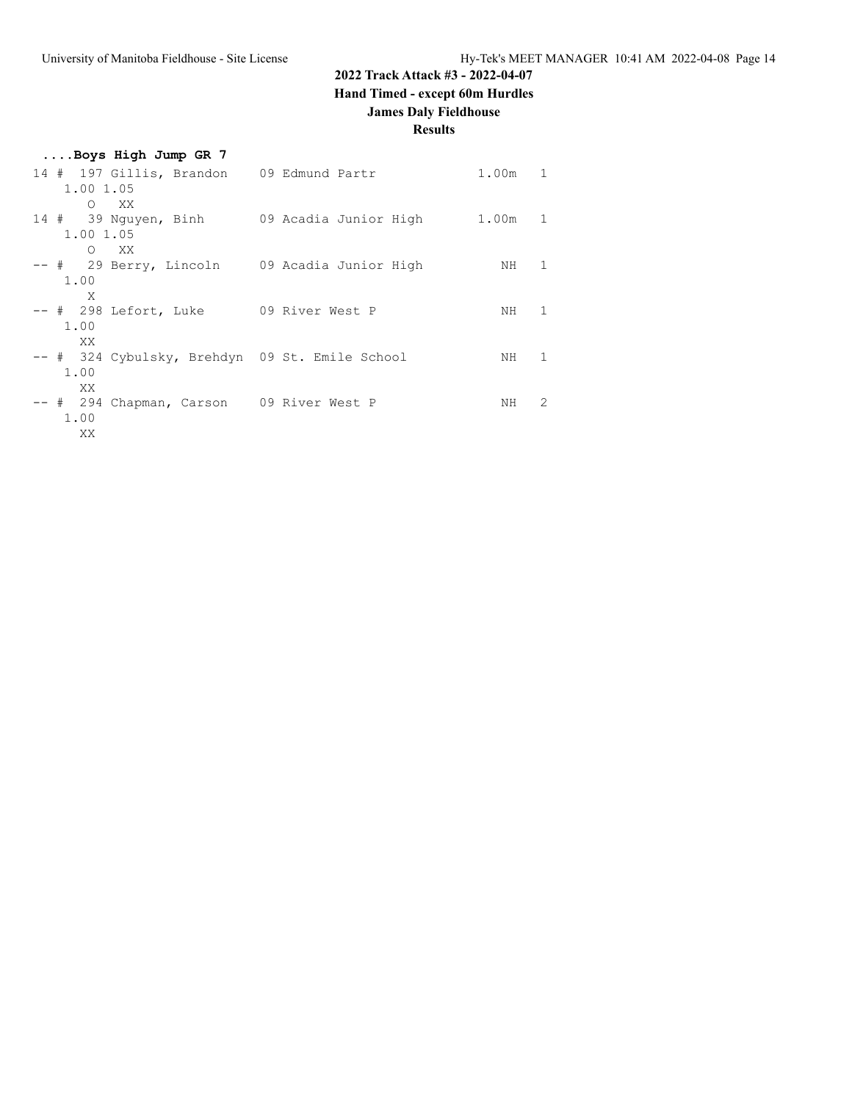### **2022 Track Attack #3 - 2022-04-07**

**Hand Timed - except 60m Hurdles**

### **James Daly Fieldhouse**

| Boys High Jump GR 7                                            |                       |           |              |
|----------------------------------------------------------------|-----------------------|-----------|--------------|
| 14 # 197 Gillis, Brandon 09 Edmund Partr<br>1.00 1.05          |                       | $1.00m$ 1 |              |
| $O$ XX<br>14 # 39 Nguyen, Binh<br>1.00 1.05                    | 09 Acadia Junior High | 1.00m     | 1            |
| O XX<br>-- # 29 Berry, Lincoln   09 Acadia Junior High<br>1.00 |                       | NH        | $\mathbf{1}$ |
| X<br>-- # 298 Lefort, Luke 09 River West P<br>1.00             |                       | NH        | 1            |
| XX.<br>-- # 324 Cybulsky, Brehdyn 09 St. Emile School<br>1.00  |                       | NH        | 1            |
| XX.<br>-- # 294 Chapman, Carson 09 River West P<br>1.00<br>XX  |                       | NH        | 2            |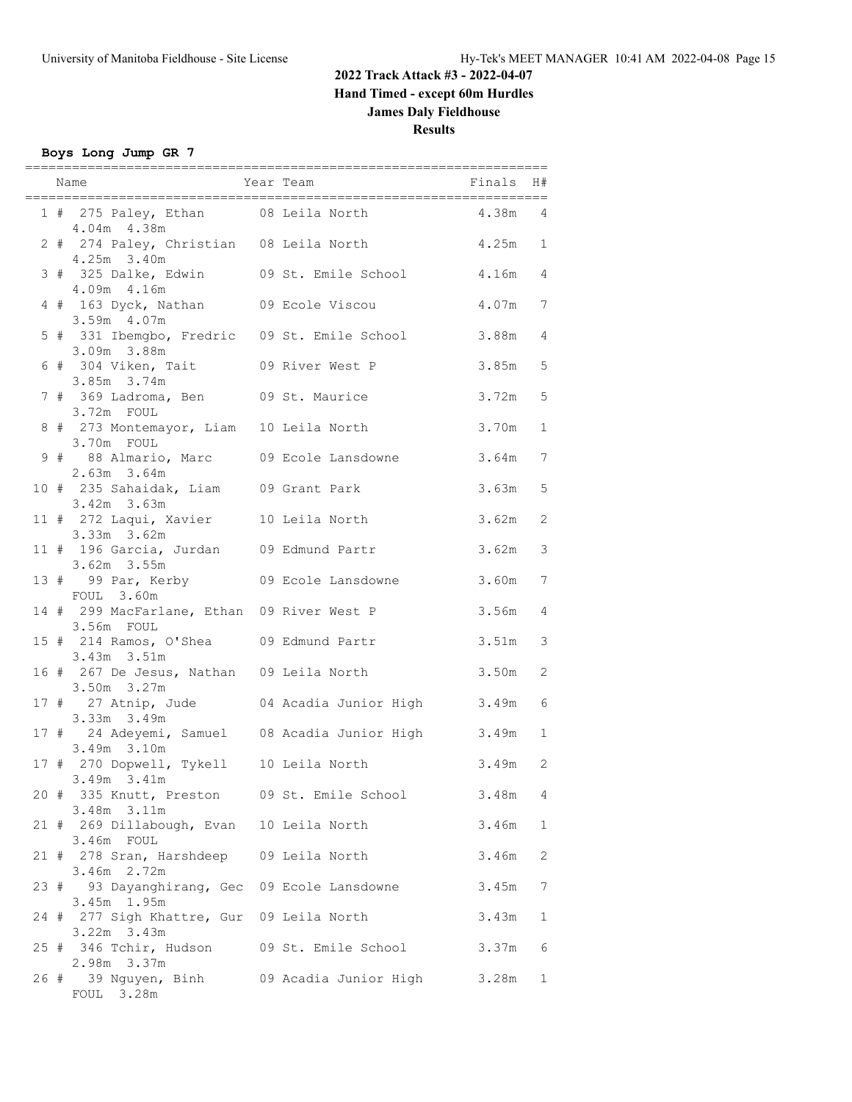### **Boys Long Jump GR 7**

|  | ==========<br>Name                                             | ===========<br>====================<br>Finals H#<br>Year Team |                    |              |
|--|----------------------------------------------------------------|---------------------------------------------------------------|--------------------|--------------|
|  | 4.04m 4.38m                                                    | 1 # 275 Paley, Ethan 08 Leila North 4.38m 4                   |                    |              |
|  | 2 # 274 Paley, Christian 08 Leila North<br>4.25m 3.40m         |                                                               | $4.25m$ 1          |              |
|  | 3 # 325 Dalke, Edwin 09 St. Emile School<br>4.09m 4.16m        |                                                               | 4.16m 4            |              |
|  | 4 # 163 Dyck, Nathan 09 Ecole Viscou<br>3.59m 4.07m            |                                                               | 4.07m 7            |              |
|  | 5 # 331 Ibemgbo, Fredric 09 St. Emile School<br>3.09m 3.88m    |                                                               | 3.88m 4            |              |
|  | 6 # 304 Viken, Tait 09 River West P<br>$3.85m$ $3.74m$         |                                                               | $3.85m$ 5          |              |
|  | 7 # 369 Ladroma, Ben 09 St. Maurice<br>3.72m FOUL              |                                                               | $3.72m$ 5          |              |
|  | 8 # 273 Montemayor, Liam 10 Leila North<br>3.70m FOUL          |                                                               | 3.70m              | $\mathbf{1}$ |
|  | 9 # 88 Almario, Marc 09 Ecole Lansdowne<br>$2.63m$ $3.64m$     |                                                               | 3.64m              | 7            |
|  | 10 # 235 Sahaidak, Liam 09 Grant Park<br>$3.42m$ $3.63m$       |                                                               | $3.63m$ 5          |              |
|  | 11 # 272 Laqui, Xavier 10 Leila North<br>$3.33m$ $3.62m$       |                                                               | 3.62m              | 2            |
|  | 11 # 196 Garcia, Jurdan 09 Edmund Partr<br>3.62m 3.55m         |                                                               | 3.62m              | 3            |
|  | 13 # 99 Par, Kerby 09 Ecole Lansdowne<br>FOUL 3.60m            |                                                               | 3.60m              | 7            |
|  | 14 # 299 MacFarlane, Ethan 09 River West P<br>3.56m FOUL       |                                                               | 3.56m 4            |              |
|  | 15 # 214 Ramos, O'Shea 09 Edmund Partr<br>3.43m 3.51m          |                                                               | 3.51m              | 3            |
|  | 16 # 267 De Jesus, Nathan 09 Leila North<br>3.50m 3.27m        | 17 # 27 Atnip, Jude 04 Acadia Junior High                     | 3.50m<br>$3.49m$ 6 | 2            |
|  | 3.33m 3.49m                                                    | 17 # 24 Adeyemi, Samuel 08 Acadia Junior High 3.49m 1         |                    |              |
|  | 3.49m 3.10m<br>17 # 270 Dopwell, Tykell 10 Leila North         |                                                               | $3.49m$ 2          |              |
|  | $3.49m$ $3.41m$<br>20 # 335 Knutt, Preston 09 St. Emile School |                                                               | 3.48m              | 4            |
|  | 3.48m 3.11m<br>21 # 269 Dillabough, Evan 10 Leila North        |                                                               | 3.46m              | 1            |
|  | 3.46m FOUL<br>21 # 278 Sran, Harshdeep 09 Leila North          |                                                               | 3.46m              | 2            |
|  | 3.46m 2.72m<br>93 Dayanghirang, Gec 09 Ecole Lansdowne<br>23 # |                                                               | 3.45m              | 7            |
|  | 3.45m 1.95m<br>24 # 277 Sigh Khattre, Gur 09 Leila North       |                                                               | 3.43m              | 1            |
|  | $3.22m$ $3.43m$<br>25 # 346 Tchir, Hudson                      | 09 St. Emile School                                           | 3.37m              | - 6          |
|  | 2.98m 3.37m<br>26 # 39 Nguyen, Binh<br>FOUL 3.28m              | 09 Acadia Junior High                                         | 3.28m              | 1            |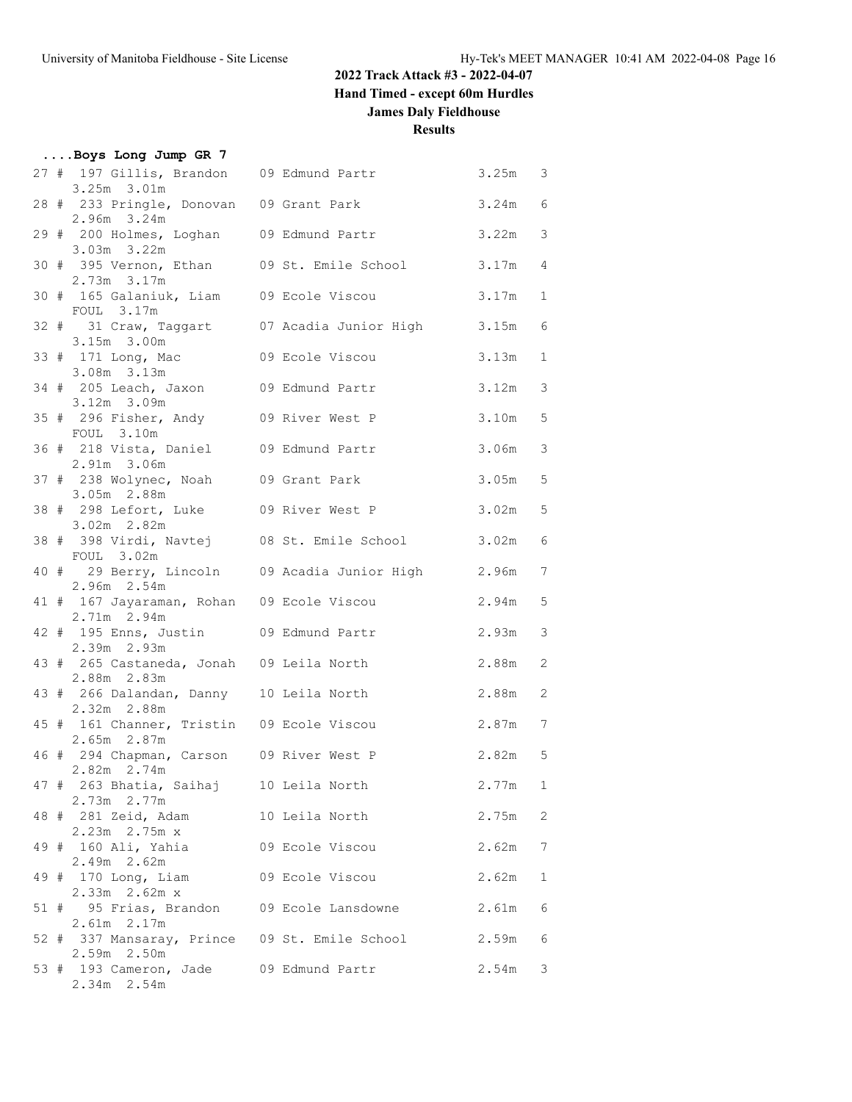### **2022 Track Attack #3 - 2022-04-07**

**Hand Timed - except 60m Hurdles**

### **James Daly Fieldhouse**

|  | Boys Long Jump GR 7                                              |                                                    |           |                 |
|--|------------------------------------------------------------------|----------------------------------------------------|-----------|-----------------|
|  | $3.25m$ $3.01m$                                                  | 27 # 197 Gillis, Brandon 09 Edmund Partr 3.25m 3   |           |                 |
|  | 28 # 233 Pringle, Donovan 09 Grant Park<br>$2.96m$ $3.24m$       |                                                    | $3.24m$ 6 |                 |
|  | $3.03m$ $3.22m$                                                  | 29 # 200 Holmes, Loghan 09 Edmund Partr            | 3.22m     | 3               |
|  | 2.73m 3.17m                                                      | 30 # 395 Vernon, Ethan 09 St. Emile School 3.17m   |           | $\overline{4}$  |
|  | 30 # 165 Galaniuk, Liam 09 Ecole Viscou<br>FOUL 3.17m            |                                                    | 3.17m     | $\mathbf{1}$    |
|  | 3.15m 3.00m                                                      | 32 # 31 Craw, Taggart 07 Acadia Junior High 3.15m  |           | 6               |
|  | 33 # 171 Long, Mac 09 Ecole Viscou<br>3.08m 3.13m                |                                                    | 3.13m     | $\mathbf{1}$    |
|  | 34 # 205 Leach, Jaxon 09 Edmund Partr<br>$3.12m$ $3.09m$         |                                                    | 3.12m     | $\mathcal{S}$   |
|  | 35 # 296 Fisher, Andy 09 River West P<br>FOUL 3.10m              |                                                    | 3.10m     | 5               |
|  | 36 # 218 Vista, Daniel 09 Edmund Partr<br>2.91m 3.06m            |                                                    | 3.06m     | 3               |
|  | 37 # 238 Wolynec, Noah 09 Grant Park<br>3.05m 2.88m              |                                                    | 3.05m     | 5               |
|  | 38 # 298 Lefort, Luke 09 River West P<br>3.02m 2.82m             |                                                    | 3.02m     | 5               |
|  | FOUL 3.02m                                                       | 38 # 398 Virdi, Navtej 08 St. Emile School 3.02m   |           | $6\phantom{.}6$ |
|  | 2.96m 2.54m                                                      | 40 # 29 Berry, Lincoln 09 Acadia Junior High 2.96m |           | $\overline{7}$  |
|  | 41 # 167 Jayaraman, Rohan 09 Ecole Viscou<br>2.71m 2.94m         |                                                    | 2.94m     | 5               |
|  | 42 # 195 Enns, Justin 09 Edmund Partr<br>2.39m 2.93m             |                                                    | 2.93m     | 3               |
|  | 43 # 265 Castaneda, Jonah 09 Leila North<br>2.88m 2.83m          |                                                    | 2.88m     | $\overline{c}$  |
|  | 43 # 266 Dalandan, Danny 10 Leila North<br>$2.32m$ $2.88m$       |                                                    | 2.88m     | $\mathbf{2}$    |
|  | 45 # 161 Channer, Tristin 09 Ecole Viscou<br>2.65m 2.87m         |                                                    | 2.87m     | $\overline{7}$  |
|  | 46 # 294 Chapman, Carson 09 River West P<br>2.82m 2.74m          |                                                    | 2.82m 5   |                 |
|  | 47 # 263 Bhatia, Saihaj 10 Leila North<br>2.73m 2.77m            |                                                    | 2.77m     | 1               |
|  | 48 # 281 Zeid, Adam<br>2.23m  2.75m x                            | 10 Leila North                                     | 2.75m     | $\mathbf{2}$    |
|  | 49 # 160 Ali, Yahia<br>2.49m 2.62m                               | 09 Ecole Viscou                                    | 2.62m     | 7               |
|  | 49 # 170 Long, Liam<br>2.33m 2.62m x                             | 09 Ecole Viscou                                    | 2.62m     | $\mathbf{1}$    |
|  | 51 # 95 Frias, Brandon 09 Ecole Lansdowne<br>2.61m 2.17m         |                                                    | 2.61m     | $\epsilon$      |
|  | 52 # 337 Mansaray, Prince 09 St. Emile School<br>$2.59m$ $2.50m$ |                                                    | 2.59m     | $\epsilon$      |
|  | 53 # 193 Cameron, Jade 09 Edmund Partr<br>2.34m 2.54m            |                                                    | 2.54m     | 3               |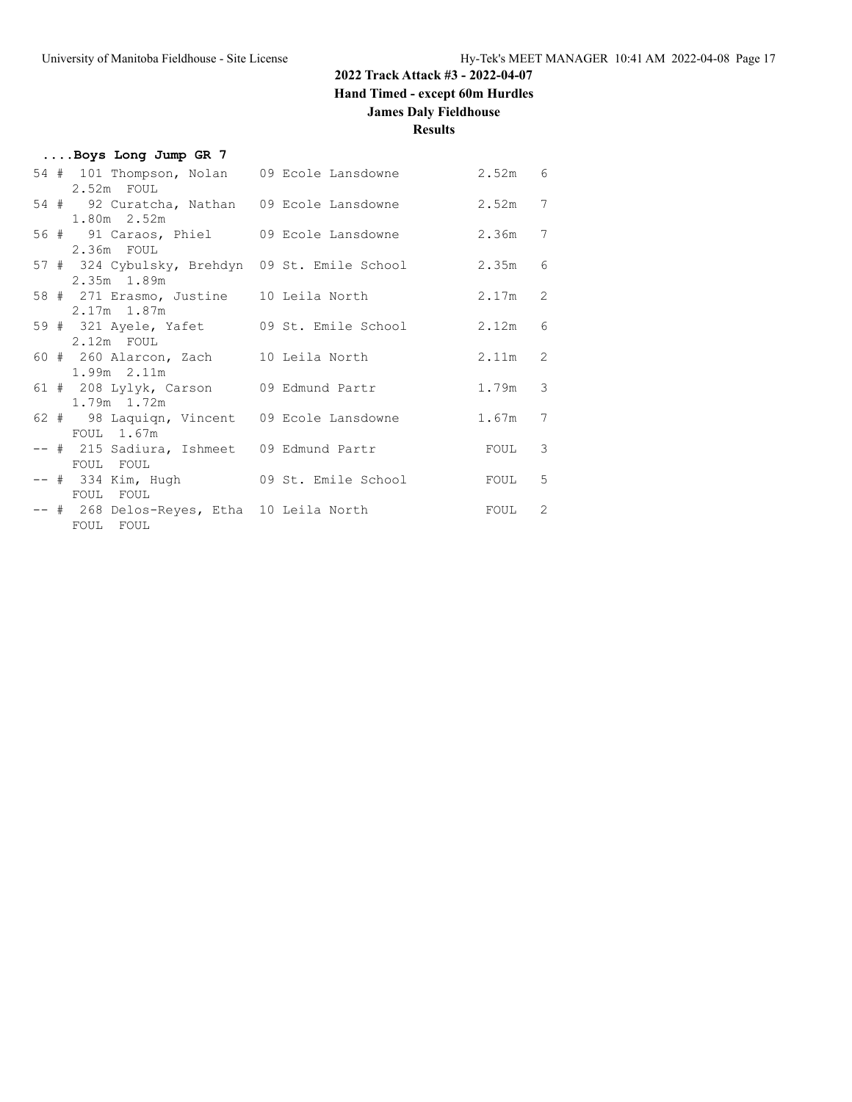### **2022 Track Attack #3 - 2022-04-07**

**Hand Timed - except 60m Hurdles**

### **James Daly Fieldhouse**

|  | Boys Long Jump GR 7                                         |                                                     |                   |                          |
|--|-------------------------------------------------------------|-----------------------------------------------------|-------------------|--------------------------|
|  | 2.52m FOUL                                                  | 54 # 101 Thompson, Nolan 09 Ecole Lansdowne 2.52m 6 |                   |                          |
|  | 54 # 92 Curatcha, Nathan 09 Ecole Lansdowne                 |                                                     | 2.52m             | $\overline{7}$           |
|  | $1.80m$ $2.52m$<br>56 # 91 Caraos, Phiel 09 Ecole Lansdowne |                                                     | 2.36m             | $\overline{7}$           |
|  | 2.36m FOUL<br>2.35m 1.89m                                   | 57 # 324 Cybulsky, Brehdyn 09 St. Emile School      | 2.35m             | 6                        |
|  | 58 # 271 Erasmo, Justine 10 Leila North<br>$2.17m$ 1.87m    |                                                     | $2.17m$ 2         |                          |
|  | $2.12m$ FOUL                                                | 59 # 321 Ayele, Yafet 09 St. Emile School           | $2.12m$ 6         |                          |
|  | 60 # 260 Alarcon, Zach 10 Leila North<br>1.99m 2.11m        |                                                     | $2.11m$ 2         |                          |
|  | 61 # 208 Lylyk, Carson 09 Edmund Partr<br>1.79m 1.72m       |                                                     | 1.79m 3           |                          |
|  | 62 # 98 Laquiqn, Vincent 09 Ecole Lansdowne<br>FOUL 1.67m   |                                                     | 1.67m             | $\overline{7}$           |
|  | -- # 215 Sadiura, Ishmeet 09 Edmund Partr<br>FOUL FOUL      |                                                     | FOUL              | $\overline{\phantom{a}}$ |
|  | -- # 334 Kim, Hugh 09 St. Emile School<br>FOUL FOUL         |                                                     | FOUL              | 5                        |
|  | -- # 268 Delos-Reyes, Etha 10 Leila North<br>FOUL FOUL      |                                                     | FOUL <sub>2</sub> |                          |
|  |                                                             |                                                     |                   |                          |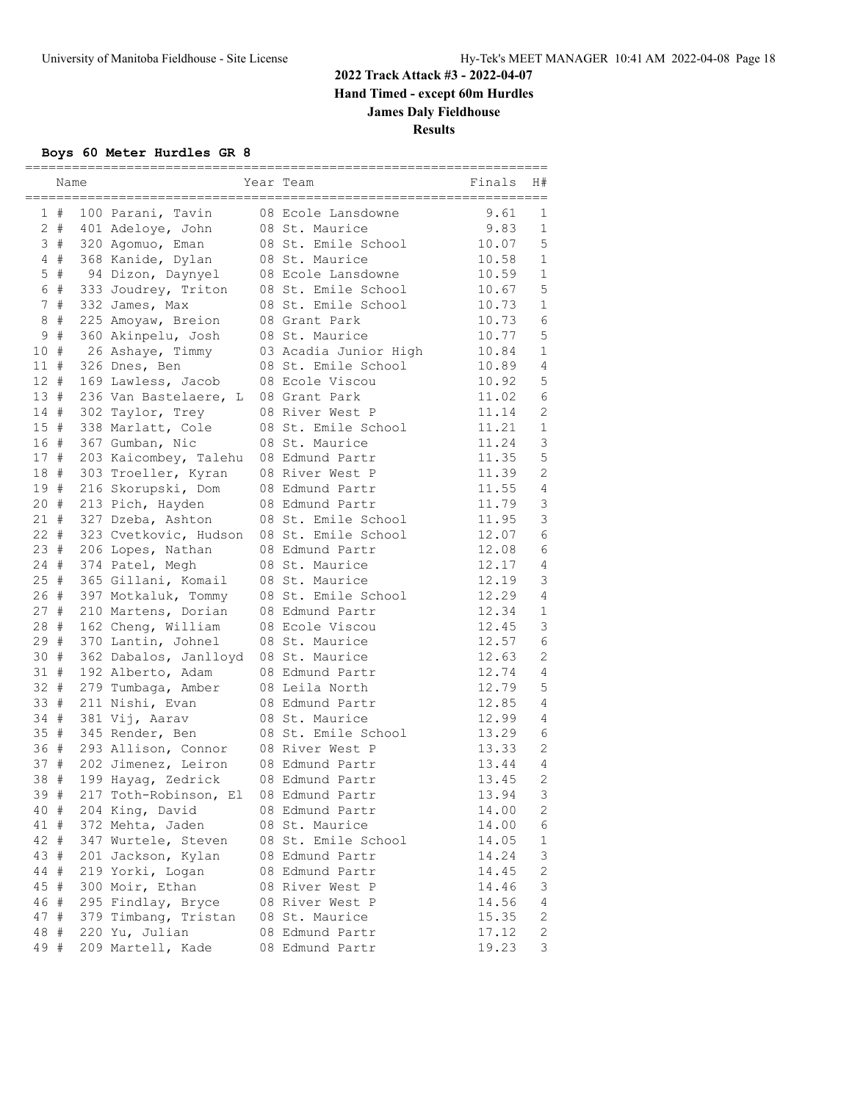#### **Boys 60 Meter Hurdles GR 8**

|                | Name |                       | Year Team             | Finals | H#             |
|----------------|------|-----------------------|-----------------------|--------|----------------|
| $\mathbf{1}$   | #    | 100 Parani, Tavin     | 08 Ecole Lansdowne    | 9.61   | 1              |
| $\overline{2}$ | $\#$ | 401 Adeloye, John     | 08 St. Maurice        | 9.83   | $\mathbf 1$    |
|                | 3#   | 320 Agomuo, Eman      | 08 St. Emile School   | 10.07  | 5              |
| 4              | #    | 368 Kanide, Dylan     | 08 St. Maurice        | 10.58  | $\mathbf 1$    |
| 5              | $\#$ | 94 Dizon, Daynyel     | 08 Ecole Lansdowne    | 10.59  | $\mathbf 1$    |
| 6              | $\#$ | 333 Joudrey, Triton   | 08 St. Emile School   | 10.67  | 5              |
| 7              | $\#$ | 332 James, Max        | 08 St. Emile School   | 10.73  | $1\,$          |
| $\,8\,$        | $\#$ | 225 Amoyaw, Breion    | 08 Grant Park         | 10.73  | $\epsilon$     |
| 9              | $\#$ | 360 Akinpelu, Josh    | 08 St. Maurice        | 10.77  | 5              |
| 10             | #    | 26 Ashaye, Timmy      | 03 Acadia Junior High | 10.84  | $\mathbf 1$    |
| 11             | #    | 326 Dnes, Ben         | 08 St. Emile School   | 10.89  | $\overline{4}$ |
| 12             | #    | 169 Lawless, Jacob    | 08 Ecole Viscou       | 10.92  | 5              |
| 13             | #    | 236 Van Bastelaere, L | 08 Grant Park         | 11.02  | $\epsilon$     |
| 14             | $\#$ | 302 Taylor, Trey      | 08 River West P       | 11.14  | $\overline{2}$ |
| 15#            |      | 338 Marlatt, Cole     | 08 St. Emile School   | 11.21  | $\mathbf 1$    |
| 16 #           |      | 367 Gumban, Nic       | 08 St. Maurice        | 11.24  | 3              |
| 17#            |      | 203 Kaicombey, Talehu | 08 Edmund Partr       | 11.35  | 5              |
| 18             | #    | 303 Troeller, Kyran   | 08 River West P       | 11.39  | $\mathbf{2}$   |
| 19             | #    | 216 Skorupski, Dom    | 08 Edmund Partr       | 11.55  | $\overline{4}$ |
| 20             | #    | 213 Pich, Hayden      | 08 Edmund Partr       | 11.79  | 3              |
| 21#            |      | 327 Dzeba, Ashton     | 08 St. Emile School   | 11.95  | 3              |
| $22 +$         |      | 323 Cvetkovic, Hudson | 08 St. Emile School   | 12.07  | 6              |
| 23#            |      | 206 Lopes, Nathan     | 08 Edmund Partr       | 12.08  | 6              |
| 24             | #    | 374 Patel, Megh       | 08 St. Maurice        | 12.17  | 4              |
| 25             | #    | 365 Gillani, Komail   | 08 St. Maurice        | 12.19  | 3              |
| 26 #           |      | 397 Motkaluk, Tommy   | 08 St. Emile School   | 12.29  | $\sqrt{4}$     |
| 27             | #    | 210 Martens, Dorian   | 08 Edmund Partr       | 12.34  | $\mathbf 1$    |
| 28             | #    | 162 Cheng, William    | 08 Ecole Viscou       | 12.45  | 3              |
| 29             | #    | 370 Lantin, Johnel    | 08 St. Maurice        | 12.57  | 6              |
| 30             | #    | 362 Dabalos, Janlloyd | 08 St. Maurice        | 12.63  | $\mathbf{2}$   |
| 31             | #    | 192 Alberto, Adam     | 08 Edmund Partr       | 12.74  | $\overline{4}$ |
| 32 #           |      | 279 Tumbaga, Amber    | 08 Leila North        | 12.79  | 5              |
| 33 #           |      | 211 Nishi, Evan       | 08 Edmund Partr       | 12.85  | 4              |
| 34 #           |      | 381 Vij, Aarav        | 08 St. Maurice        | 12.99  | 4              |
| 35             | #    | 345 Render, Ben       | 08 St. Emile School   | 13.29  | 6              |
| 36             | #    | 293 Allison, Connor   | 08 River West P       | 13.33  | $\mathbf{2}$   |
| 37             | #    | 202 Jimenez, Leiron   | 08 Edmund Partr       | 13.44  | 4              |
| 38             | #    | 199 Hayag, Zedrick    | 08 Edmund Partr       | 13.45  | $\overline{2}$ |
| 39 #           |      | 217 Toth-Robinson, El | 08 Edmund Partr       | 13.94  | 3              |
| 40 #           |      | 204 King, David       | 08 Edmund Partr       | 14.00  | 2              |
| 41 #           |      | 372 Mehta, Jaden      | 08 St. Maurice        | 14.00  | 6              |
| 42             | #    | 347 Wurtele, Steven   | 08 St. Emile School   | 14.05  | $\mathbf 1$    |
| 43             | #    | 201 Jackson, Kylan    | 08 Edmund Partr       | 14.24  | 3              |
| 44 #           |      | 219 Yorki, Logan      | 08 Edmund Partr       | 14.45  | $\sqrt{2}$     |
| 45 #           |      | 300 Moir, Ethan       | 08 River West P       | 14.46  | 3              |
| 46 #           |      | 295 Findlay, Bryce    | 08 River West P       | 14.56  | 4              |
| 47 #           |      | 379 Timbang, Tristan  | 08 St. Maurice        | 15.35  | 2              |
| 48             | #    | 220 Yu, Julian        | 08 Edmund Partr       | 17.12  | 2              |
| 49 #           |      | 209 Martell, Kade     | 08 Edmund Partr       | 19.23  | 3              |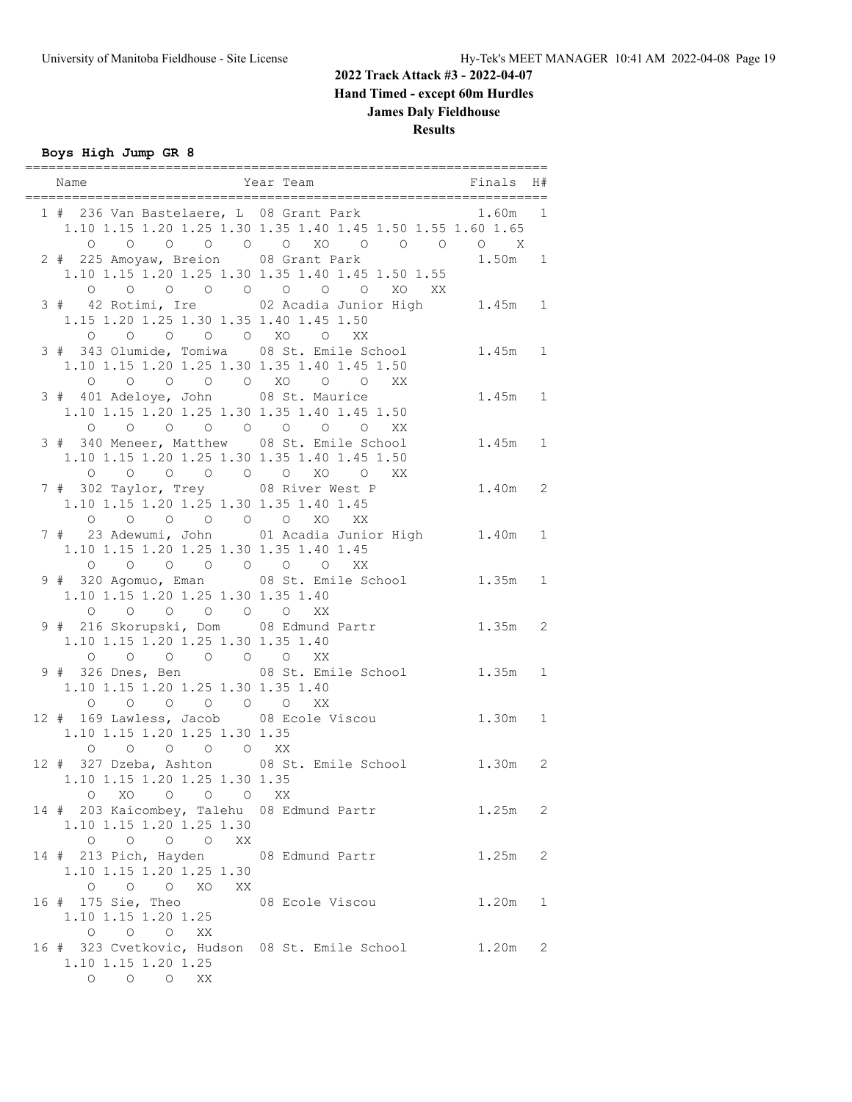#### **Boys High Jump GR 8**

| Year Team<br>Name                                                                                      | <b>Example 1</b> Finals                                                                                        |           | H#           |
|--------------------------------------------------------------------------------------------------------|----------------------------------------------------------------------------------------------------------------|-----------|--------------|
|                                                                                                        | 1 # 236 Van Bastelaere, L 08 Grant Park 1.60m 1<br>1.10 1.15 1.20 1.25 1.30 1.35 1.40 1.45 1.50 1.55 1.60 1.65 |           |              |
| 2 # 225 Amoyaw, Breion 08 Grant Park                                                                   | 1.10 1.15 1.20 1.25 1.30 1.35 1.40 1.45 1.50 1.55                                                              | $1.50m$ 1 |              |
| 1.15 1.20 1.25 1.30 1.35 1.40 1.45 1.50<br>0 0 0 0 0 XO 0 XX                                           | 0 0 0 0 0 0 0 0 XO XX                                                                                          |           |              |
| 3 # 343 Olumide, Tomiwa 08 St. Emile School<br>1.10 1.15 1.20 1.25 1.30 1.35 1.40 1.45 1.50<br>$\circ$ | 0 0 0 0 XO 0 0 XX                                                                                              | $1.45m$ 1 |              |
| 3 # 401 Adeloye, John 08 St. Maurice<br>1.10 1.15 1.20 1.25 1.30 1.35 1.40 1.45 1.50                   | XX                                                                                                             | $1.45m$ 1 |              |
| 3 # 340 Meneer, Matthew 08 St. Emile School<br>1.10 1.15 1.20 1.25 1.30 1.35 1.40 1.45 1.50            |                                                                                                                | $1.45m$ 1 |              |
| 0 0 0 0 0 0 XO 0 XX<br>7 # 302 Taylor, Trey 08 River West P<br>1.10 1.15 1.20 1.25 1.30 1.35 1.40 1.45 |                                                                                                                | $1.40m$ 2 |              |
| 0 0 0 0 0 0 XO XX<br>1.10 1.15 1.20 1.25 1.30 1.35 1.40 1.45                                           | 7 # 23 Adewumi, John 01 Acadia Junior High 1.40m 1                                                             |           |              |
| 0 0 0 0 0 0 XX<br>$\circ$<br>1.10 1.15 1.20 1.25 1.30 1.35 1.40<br>0 0 0 0 0 0 XX                      | 9 # 320 Agomuo, Eman 08 St. Emile School                                                                       | $1.35m$ 1 |              |
| 1.10 1.15 1.20 1.25 1.30 1.35 1.40                                                                     | 9 # 216 Skorupski, Dom 08 Edmund Partr                                                                         | $1.35m$ 2 |              |
| 0 0 0 0 0 0 XX<br>1.10 1.15 1.20 1.25 1.30 1.35 1.40<br>0 0 0 0 0 0 XX                                 | 9 # 326 Dnes, Ben 68 St. Emile School                                                                          | 1.35m 1   |              |
| 1.10 1.15 1.20 1.25 1.30 1.35<br>$\circ$<br>$\circ$                                                    | 12 # 169 Lawless, Jacob 08 Ecole Viscou                                                                        | $1.30m$ 1 |              |
| 0 0 0 XX<br>1.10 1.15 1.20 1.25 1.30 1.35<br>$\begin{matrix} 0 & \times 0 & 0 & 0 & 0 \end{matrix}$    | 12 # 327 Dzeba, Ashton 08 St. Emile School                                                                     | $1.30m$ 2 |              |
| 14 # 203 Kaicombey, Talehu 08 Edmund Partr<br>1.10 1.15 1.20 1.25 1.30                                 | XX                                                                                                             | $1.25m$ 2 |              |
| 0 0 0 0 XX<br>14 # 213 Pich, Hayden 08 Edmund Partr<br>1.10 1.15 1.20 1.25 1.30<br>0 0 0 XO XX         |                                                                                                                | $1.25m$ 2 |              |
| 16 # 175 Sie, Theo<br>1.10 1.15 1.20 1.25                                                              | 08 Ecole Viscou                                                                                                | 1.20m     | $\mathbf{1}$ |
| 0 0 0 XX<br>1.10 1.15 1.20 1.25<br>$\begin{matrix} 0 & 0 & 0 \end{matrix}$<br>XX                       | 16 # 323 Cvetkovic, Hudson 08 St. Emile School                                                                 | $1.20m$ 2 |              |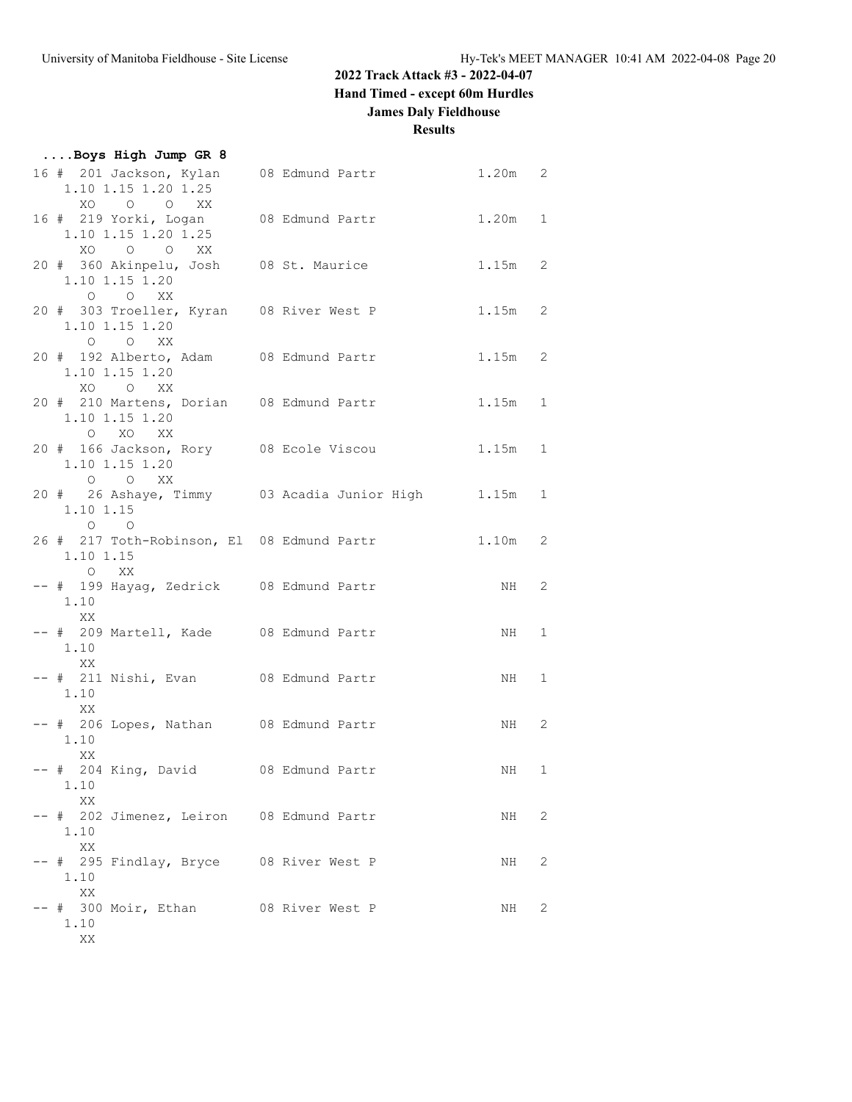### **2022 Track Attack #3 - 2022-04-07**

**Hand Timed - except 60m Hurdles**

### **James Daly Fieldhouse**

| Boys High Jump GR 8                                                                                     |                 |           |                            |
|---------------------------------------------------------------------------------------------------------|-----------------|-----------|----------------------------|
| 16 # 201 Jackson, Kylan<br>1.10 1.15 1.20 1.25<br>XO O O XX                                             | 08 Edmund Partr | $1.20m$ 2 |                            |
| 16 # 219 Yorki, Logan 08 Edmund Partr<br>1.10 1.15 1.20 1.25<br>XO O O XX                               |                 | 1.20m 1   |                            |
| 20 # 360 Akinpelu, Josh 08 St. Maurice<br>1.10 1.15 1.20                                                |                 | $1.15m$ 2 |                            |
| $O$ $O$ $XX$<br>20 # 303 Troeller, Kyran 08 River West P<br>1.10 1.15 1.20<br>$O$ $OX$ $X$              |                 | $1.15m$ 2 |                            |
| 20 # 192 Alberto, Adam 08 Edmund Partr<br>1.10 1.15 1.20                                                |                 | $1.15m$ 2 |                            |
| XO O XX<br>20 # 210 Martens, Dorian 08 Edmund Partr<br>1.10 1.15 1.20<br>O XO XX                        |                 | 1.15m 1   |                            |
| 20 # 166 Jackson, Rory 08 Ecole Viscou<br>1.10 1.15 1.20                                                |                 | $1.15m$ 1 |                            |
| O O XX<br>20 # 26 Ashaye, Timmy 03 Acadia Junior High 1.15m 1<br>1.10 1.15                              |                 |           |                            |
| $\begin{matrix} 0 & 0 \\ 0 & 0 \end{matrix}$<br>26 # 217 Toth-Robinson, El 08 Edmund Partr<br>1.10 1.15 |                 | $1.10m$ 2 |                            |
| O XX<br>-- # 199 Hayag, Zedrick 08 Edmund Partr<br>1.10                                                 |                 | NH 2      |                            |
| XX<br>-- # 209 Martell, Kade 08 Edmund Partr<br>1.10                                                    |                 | NH 1      |                            |
| XX<br>-- # 211 Nishi, Evan 08 Edmund Partr<br>1.10                                                      |                 | NH 1      |                            |
| XX<br>-- # 206 Lopes, Nathan 08 Edmund Partr<br>1.10                                                    |                 | NH 2      |                            |
| XX.<br>-- # 204 King, David 08 Edmund Partr<br>1.10                                                     |                 | NH        | $\mathbf{1}$               |
| XX<br>-- # 202 Jimenez, Leiron 08 Edmund Partr<br>1.10                                                  |                 | NH        | $\overline{\phantom{0}}^2$ |
| XX<br>-- # 295 Findlay, Bryce 08 River West P<br>1.10                                                   |                 | NH        | 2                          |
| XX<br>-- # 300 Moir, Ethan 08 River West P<br>1.10<br>XX                                                |                 | NH        | 2                          |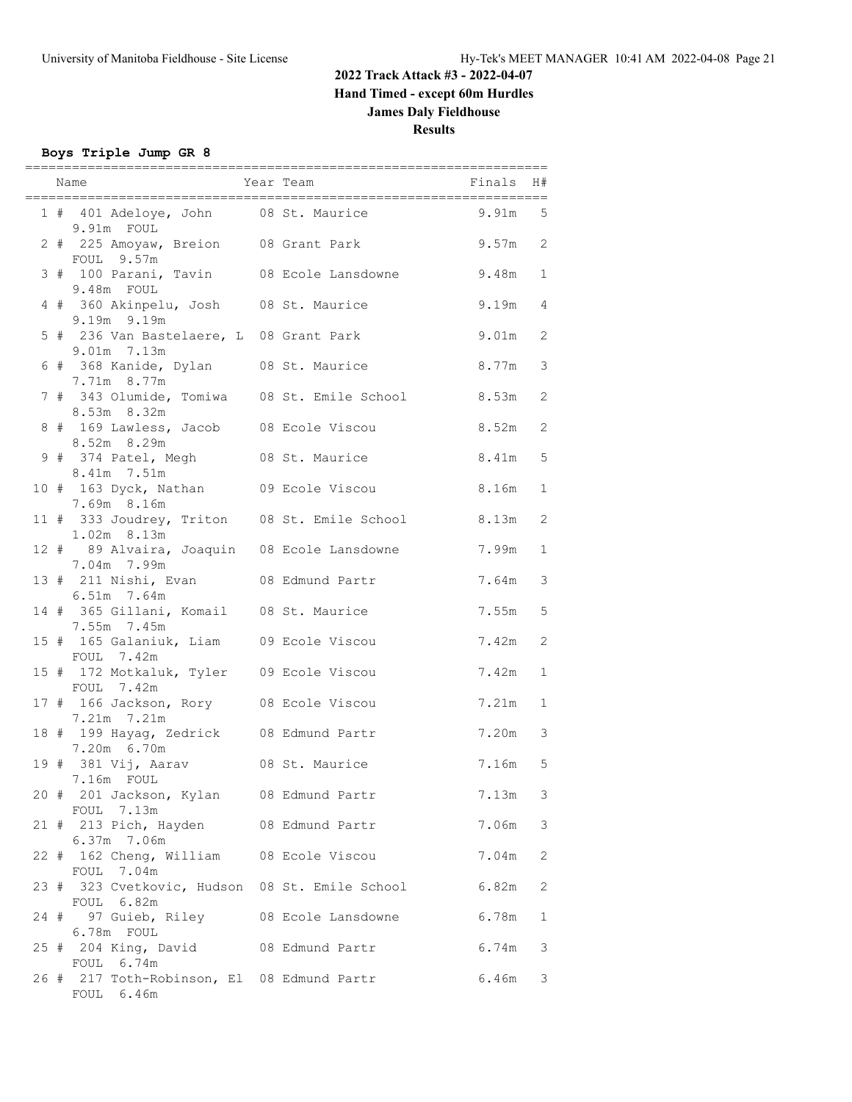### **Boys Triple Jump GR 8**

|      | ==========<br>Name Finals H# Year Team Finals H# Finals H#            | =========<br>----------------------- |           |               |
|------|-----------------------------------------------------------------------|--------------------------------------|-----------|---------------|
|      | 1 # 401 Adeloye, John 08 St. Maurice                                  |                                      | 9.91m 5   |               |
|      | 9.91m FOUL<br>2 # 225 Amoyaw, Breion 08 Grant Park                    |                                      | $9.57m$ 2 |               |
|      | FOUL 9.57m<br>3 # 100 Parani, Tavin 08 Ecole Lansdowne                |                                      | 9.48m 1   |               |
|      | 9.48m FOUL<br>4 # 360 Akinpelu, Josh 08 St. Maurice                   |                                      | 9.19m 4   |               |
|      | 9.19m 9.19m<br>5 # 236 Van Bastelaere, L 08 Grant Park                |                                      | $9.01m$ 2 |               |
|      | 9.01m 7.13m<br>6 # 368 Kanide, Dylan 08 St. Maurice                   |                                      | 8.77m     | $\mathcal{E}$ |
|      | 7.71m 8.77m<br>7 # 343 Olumide, Tomiwa 08 St. Emile School            |                                      | 8.53m     | 2             |
|      | 8.53m 8.32m<br>8 # 169 Lawless, Jacob 08 Ecole Viscou                 |                                      | 8.52m 2   |               |
|      | 8.52m 8.29m<br>9 # 374 Patel, Megh 08 St. Maurice                     |                                      | 8.41m 5   |               |
|      | 8.41m 7.51m<br>10 # 163 Dyck, Nathan 09 Ecole Viscou                  |                                      | $8.16m$ 1 |               |
|      | 7.69m 8.16m<br>11 # 333 Joudrey, Triton 08 St. Emile School           |                                      | $8.13m$ 2 |               |
|      | $1.02m$ 8.13m<br>12 # 89 Alvaira, Joaquin 08 Ecole Lansdowne          |                                      | 7.99m     | $\mathbf{1}$  |
|      | 7.04m 7.99m<br>13 # 211 Nishi, Evan 08 Edmund Partr                   |                                      | 7.64m     | 3             |
|      | 6.51m 7.64m<br>14 # 365 Gillani, Komail 08 St. Maurice<br>7.55m 7.45m |                                      | 7.55m     | $\mathbf 5$   |
|      | 15 # 165 Galaniuk, Liam 09 Ecole Viscou<br>FOUL 7.42m                 |                                      | 7.42m     | $\mathbf{2}$  |
|      | 15 # 172 Motkaluk, Tyler 09 Ecole Viscou<br>FOUL 7.42m                |                                      | 7.42m     | $\mathbf{1}$  |
|      | 17 # 166 Jackson, Rory 08 Ecole Viscou<br>7.21m 7.21m                 |                                      | 7.21m     | $\mathbf{1}$  |
|      | 18 # 199 Hayag, Zedrick 08 Edmund Partr<br>7.20m 6.70m                |                                      | 7.20m     | $\mathcal{E}$ |
|      | 19 # 381 Vij, Aarav 68 St. Maurice<br>7.16m FOUL                      |                                      | 7.16m 5   |               |
|      | 20 # 201 Jackson, Kylan 08 Edmund Partr<br>FOUL 7.13m                 |                                      | 7.13m     | 3             |
|      | 21 # 213 Pich, Hayden<br>6.37m 7.06m                                  | 08 Edmund Partr                      | 7.06m     | $\mathsf 3$   |
|      | 22 # 162 Cheng, William 08 Ecole Viscou<br>FOUL 7.04m                 |                                      | 7.04m     | 2             |
|      | 23 # 323 Cvetkovic, Hudson 08 St. Emile School<br>FOUL 6.82m          |                                      | 6.82m     | 2             |
| 24 # | 97 Guieb, Riley<br>6.78m FOUL                                         | 08 Ecole Lansdowne                   | 6.78m     | 1             |
|      | 25 # 204 King, David<br>FOUL 6.74m                                    | 08 Edmund Partr                      | 6.74m     | 3             |
|      | 26 # 217 Toth-Robinson, El 08 Edmund Partr<br>FOUL 6.46m              |                                      | 6.46m     | 3             |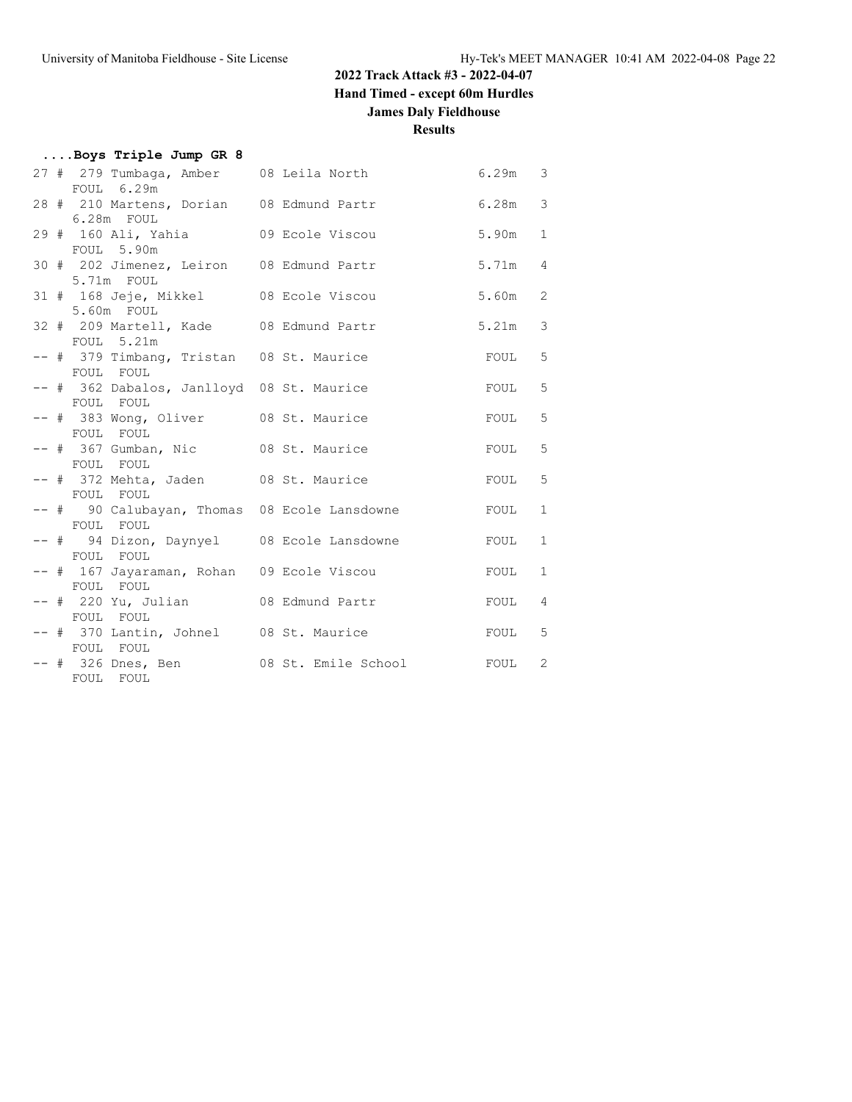### **2022 Track Attack #3 - 2022-04-07**

**Hand Timed - except 60m Hurdles**

### **James Daly Fieldhouse**

| Boys Triple Jump GR 8 |  |  |
|-----------------------|--|--|
|                       |  |  |

|  |                                           | 27 # 279 Tumbaga, Amber 08 Leila North 6.29m 3 |                   |                |
|--|-------------------------------------------|------------------------------------------------|-------------------|----------------|
|  | FOUL 6.29m                                |                                                |                   |                |
|  |                                           | 28 # 210 Martens, Dorian 08 Edmund Partr       | 6.28m             | $\mathcal{S}$  |
|  | $6.28m$ FOUL                              |                                                |                   |                |
|  | 29 # 160 Ali, Yahia 09 Ecole Viscou       |                                                | 5.90m             | $\mathbf{1}$   |
|  | FOUL 5.90m                                |                                                |                   |                |
|  | 30 # 202 Jimenez, Leiron 08 Edmund Partr  |                                                | 5.71m             | $\overline{4}$ |
|  | 5.71m FOUL                                |                                                |                   |                |
|  | 31 # 168 Jeje, Mikkel 08 Ecole Viscou     |                                                | 5.60m             | 2              |
|  | 5.60m FOUL                                |                                                |                   |                |
|  | 32 # 209 Martell, Kade 08 Edmund Partr    |                                                | 5.21m             | $\mathcal{S}$  |
|  | FOUL 5.21m                                |                                                |                   |                |
|  |                                           |                                                |                   |                |
|  | -- # 379 Timbang, Tristan 08 St. Maurice  |                                                | FOUL              | 5              |
|  | FOUL FOUL                                 |                                                |                   |                |
|  | -- # 362 Dabalos, Janlloyd 08 St. Maurice |                                                | FOUL              | 5              |
|  | FOUL FOUL                                 |                                                |                   |                |
|  | -- # 383 Wong, Oliver 08 St. Maurice      |                                                | FOUL              | 5              |
|  | FOUL FOUL                                 |                                                |                   |                |
|  | -- # 367 Gumban, Nic 08 St. Maurice       |                                                | FOUL <sub>5</sub> |                |
|  | FOUL FOUL                                 |                                                |                   |                |
|  | -- # 372 Mehta, Jaden 68 St. Maurice      |                                                | FOUL              | $\mathbf 5$    |
|  | FOUL FOUL                                 |                                                |                   |                |
|  |                                           | -- # 90 Calubayan, Thomas 08 Ecole Lansdowne   | FOUL              | $\mathbf{1}$   |
|  | FOUL FOUL                                 |                                                |                   |                |
|  | -- # 94 Dizon, Daynyel 08 Ecole Lansdowne |                                                | FOUL              | $\mathbf{1}$   |
|  | FOUL FOUL                                 |                                                |                   |                |
|  | -- # 167 Jayaraman, Rohan 09 Ecole Viscou |                                                | FOUL              | $\mathbf{1}$   |
|  | FOUL FOUL                                 |                                                |                   |                |
|  | -- # 220 Yu, Julian 08 Edmund Partr       |                                                | FOUL <sub>4</sub> |                |
|  | FOUL FOUL                                 |                                                |                   |                |
|  |                                           | -- # 370 Lantin, Johnel 08 St. Maurice         | FOUL <sub>5</sub> |                |
|  | FOUL FOUL                                 |                                                |                   |                |
|  |                                           |                                                |                   |                |
|  |                                           | -- # 326 Dnes, Ben 08 St. Emile School         | FOUL <sub>2</sub> |                |
|  | FOUL FOUL                                 |                                                |                   |                |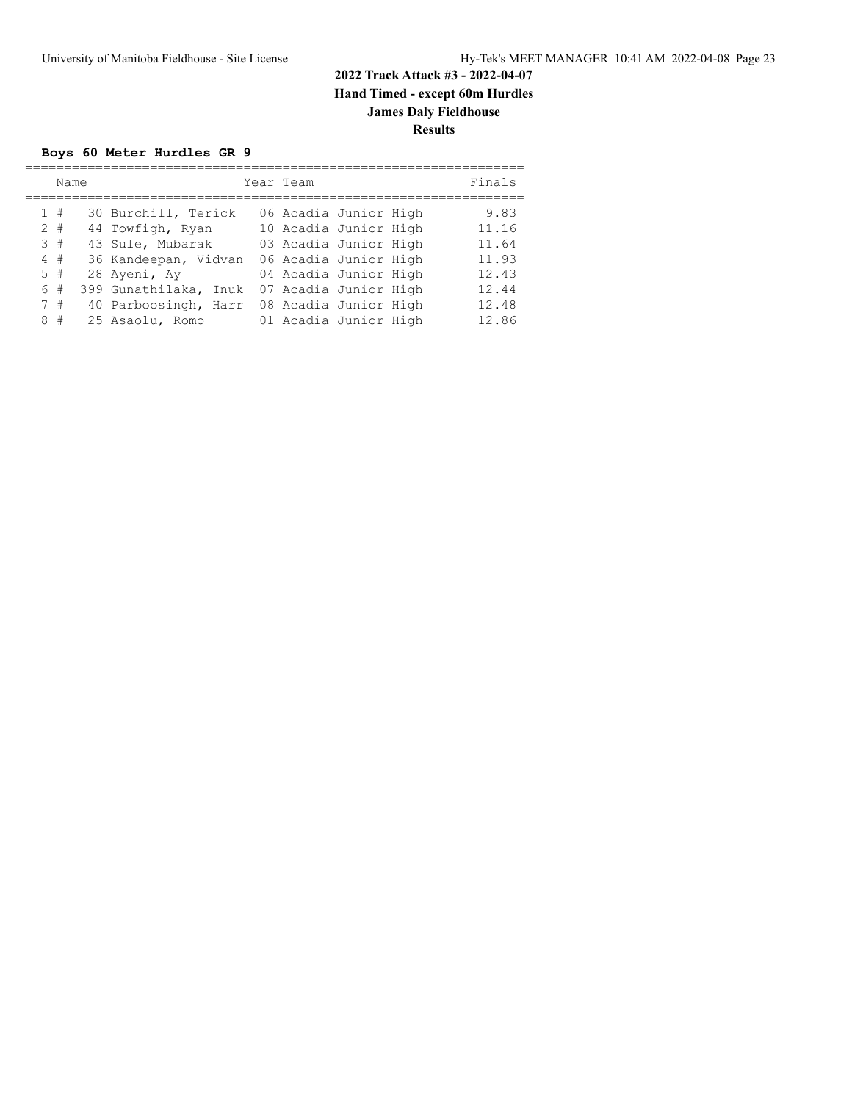#### **Boys 60 Meter Hurdles GR 9**

| Name  |                          | Year Team             |  | Finals |
|-------|--------------------------|-----------------------|--|--------|
| 1#    | 30 Burchill, Terick      | 06 Acadia Junior High |  | 9.83   |
| $2 +$ | 44 Towfigh, Ryan         | 10 Acadia Junior High |  | 11.16  |
| 3#    | 43 Sule, Mubarak         | 03 Acadia Junior High |  | 11.64  |
| 4#    | 36 Kandeepan, Vidvan     | 06 Acadia Junior High |  | 11.93  |
| 5#    | 28 Ayeni, Ay             | 04 Acadia Junior High |  | 12.43  |
| 6 #   | 399 Gunathilaka,<br>Inuk | 07 Acadia Junior High |  | 12.44  |
| 7#    | 40 Parboosingh, Harr     | 08 Acadia Junior High |  | 12.48  |
| 8#    | 25 Asaolu, Romo          | 01 Acadia Junior High |  | 12.86  |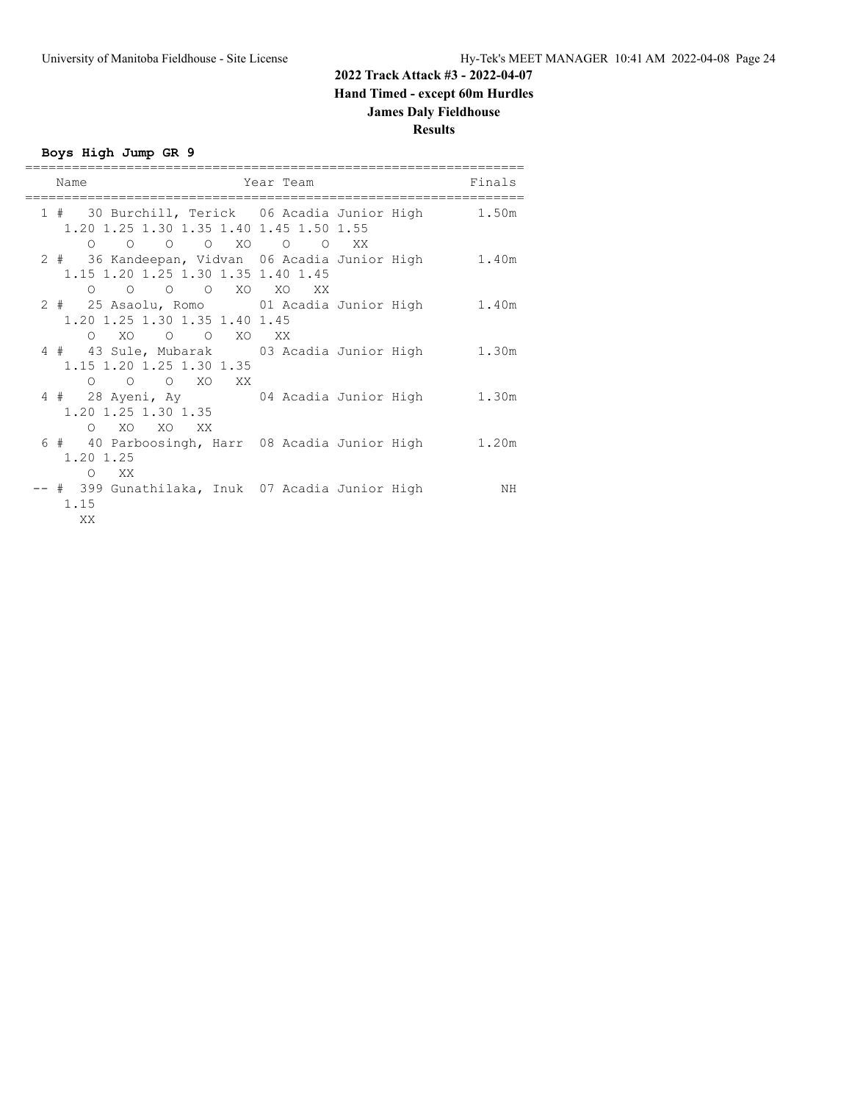**Boys High Jump GR 9**

| Name                                                                  | Year Team                                            | Finals |
|-----------------------------------------------------------------------|------------------------------------------------------|--------|
| 1.20 1.25 1.30 1.35 1.40 1.45 1.50 1.55<br>0 0 0 XO 0 0 XX<br>$\circ$ | 1 # 30 Burchill, Terick 06 Acadia Junior High        | 1.50m  |
| 1.15 1.20 1.25 1.30 1.35 1.40 1.45<br>0 0 0 0 XO XO XX                | 2 # 36 Kandeepan, Vidvan 06 Acadia Junior High 1.40m |        |
| 1.20 1.25 1.30 1.35 1.40 1.45<br>0 XO 0 0 XO XX                       | 2 # 25 Asaolu, Romo 01 Acadia Junior High 1.40m      |        |
| 1.15 1.20 1.25 1.30 1.35<br>O O O XO XX                               | 4 # 43 Sule, Mubarak 03 Acadia Junior High 1.30m     |        |
| 1.20 1.25 1.30 1.35<br>O XO XO XX                                     | 4 # 28 Ayeni, Ay 64 Acadia Junior High 1.30m         |        |
| 1.20 1.25<br>$\circ$<br>XX X                                          | 6 # 40 Parboosingh, Harr 08 Acadia Junior High 1.20m |        |
| # 399 Gunathilaka, Inuk 07 Acadia Junior High<br>1.15<br>XX           |                                                      | ΝH     |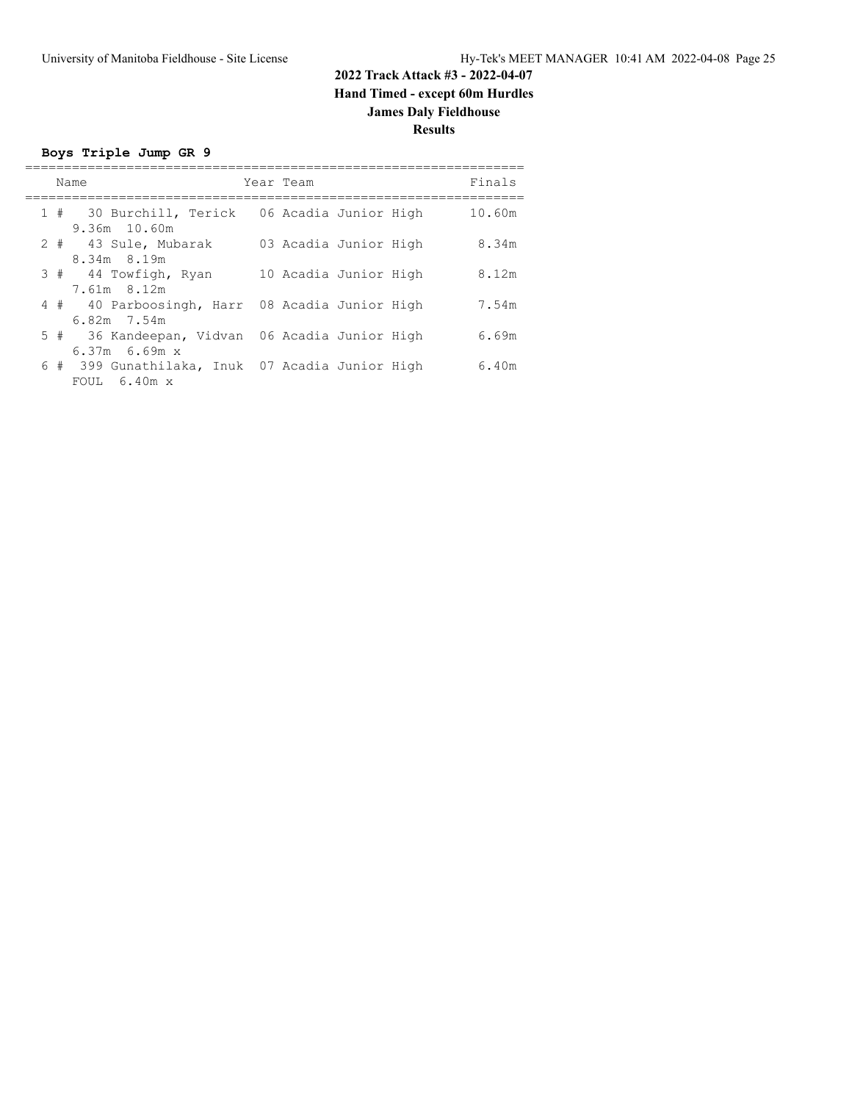**Boys Triple Jump GR 9**

|  | Name                                                                   | Year Team             | Finals |
|--|------------------------------------------------------------------------|-----------------------|--------|
|  | 1 # 30 Burchill, Terick 06 Acadia Junior High<br>$9.36m$ 10.60m        |                       | 10.60m |
|  | 2 # 43 Sule, Mubarak<br>8.34m 8.19m                                    | 03 Acadia Junior High | 8.34m  |
|  | 3 # 44 Towfigh, Ryan<br>7.61m 8.12m                                    | 10 Acadia Junior High | 8.12m  |
|  | 4 # 40 Parboosingh, Harr 08 Acadia Junior High<br>6.82m 7.54m          |                       | 7.54m  |
|  | 5 # 36 Kandeepan, Vidvan 06 Acadia Junior High<br>$6.37m$ $6.69m$ x    |                       | 6.69m  |
|  | 6 # 399 Gunathilaka, Inuk 07 Acadia Junior High<br>FOUL $6.40m \times$ |                       | 6.40m  |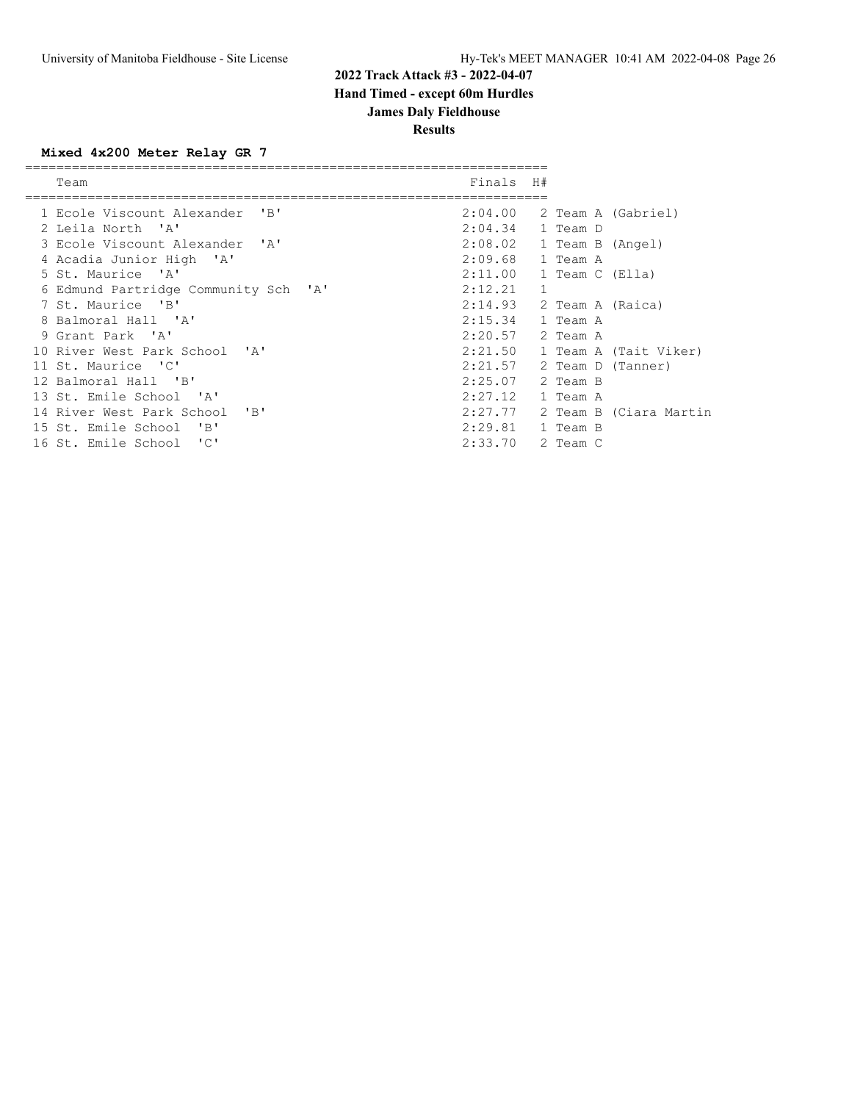### **Results**

### **Mixed 4x200 Meter Relay GR 7**

| Team                                   | Finals  | H#           |                  |                        |
|----------------------------------------|---------|--------------|------------------|------------------------|
| 1 Ecole Viscount Alexander 'B'         | 2:04.00 |              |                  | 2 Team A (Gabriel)     |
| 2 Leila North 'A'                      | 2:04.34 |              | 1 Team D         |                        |
| 3 Ecole Viscount Alexander 'A'         | 2:08.02 |              | 1 Team B (Angel) |                        |
| 4 Acadia Junior High 'A'               | 2:09.68 |              | 1 Team A         |                        |
| 5 St. Maurice 'A'                      | 2:11.00 |              | 1 Team C (Ella)  |                        |
| 6 Edmund Partridge Community Sch 'A'   | 2:12.21 | $\mathbf{1}$ |                  |                        |
| 7 St. Maurice 'B'                      | 2:14.93 |              | 2 Team A (Raica) |                        |
| 8 Balmoral Hall 'A'                    | 2:15.34 |              | 1 Team A         |                        |
| 9 Grant Park 'A'                       | 2:20.57 |              | 2 Team A         |                        |
| 10 River West Park School 'A'          | 2:21.50 |              |                  | 1 Team A (Tait Viker)  |
| 11 St. Maurice 'C'                     | 2:21.57 |              |                  | 2 Team D (Tanner)      |
| 12 Balmoral Hall 'B'                   | 2:25.07 |              | 2 Team B         |                        |
| 13 St. Emile School 'A'                | 2:27.12 |              | 1 Team A         |                        |
| $'$ B $'$<br>14 River West Park School | 2:27.77 |              |                  | 2 Team B (Ciara Martin |
| 15 St. Emile School<br>"B"             | 2:29.81 |              | 1 Team B         |                        |
| "C"<br>16 St. Emile School             | 2:33.70 |              | 2 Team C         |                        |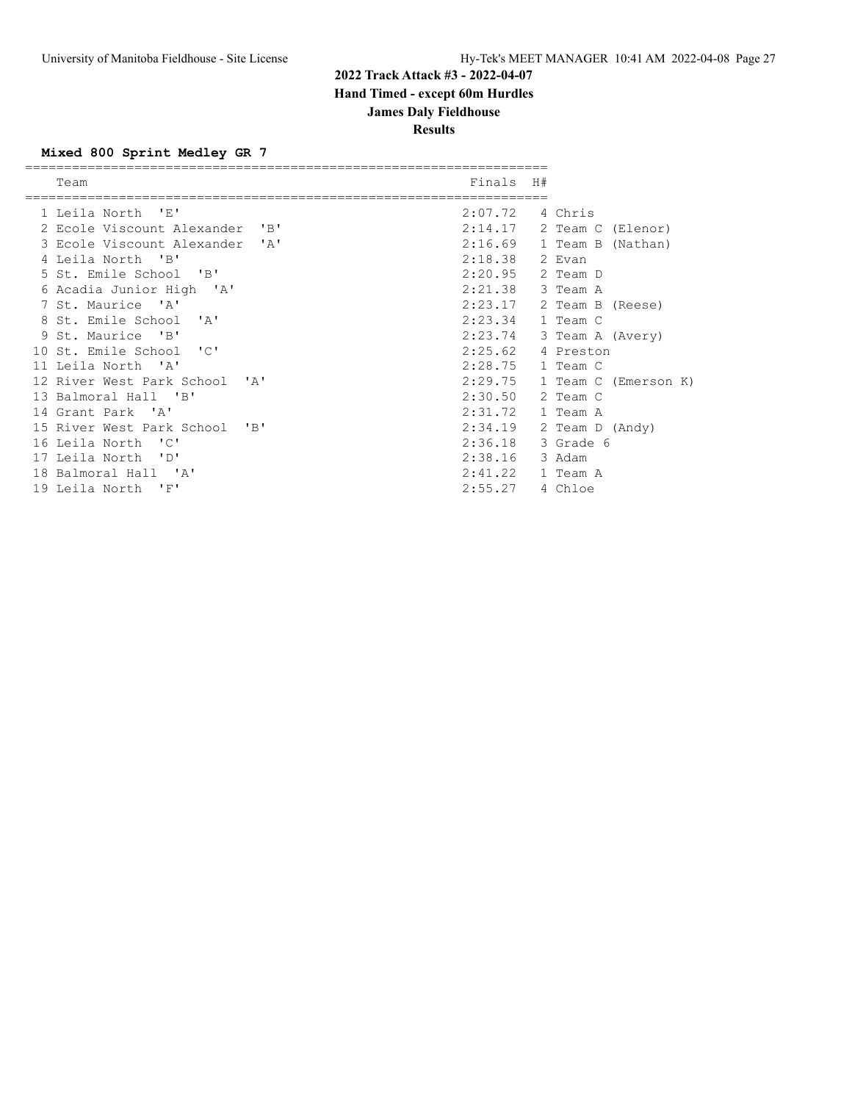**Results**

#### **Mixed 800 Sprint Medley GR 7**

| Team                                      | Finals H#        |                             |
|-------------------------------------------|------------------|-----------------------------|
|                                           |                  |                             |
| 1 Leila North 'E'                         | 2:07.72          | 4 Chris                     |
| 2 Ecole Viscount Alexander 'B'            |                  | $2:14.17$ 2 Team C (Elenor) |
| 3 Ecole Viscount Alexander 'A'            | 2:16.69          | 1 Team B (Nathan)           |
| 4 Leila North 'B'                         | 2:18.38 2 Evan   |                             |
| 5 St. Emile School 'B'                    | 2:20.95          | 2 Team D                    |
| 6 Acadia Junior High 'A'                  | 2:21.38          | 3 Team A                    |
| 7 St. Maurice 'A'                         |                  | $2:23.17$ 2 Team B (Reese)  |
| 8 St. Emile School 'A'                    | 2:23.34          | 1 Team C                    |
| 9 St. Maurice 'B'                         | 2:23.74          | 3 Team A (Avery)            |
| 10 St. Emile School 'C'                   | 2:25.62          | 4 Preston                   |
| 11 Leila North 'A'                        | 2:28.75 1 Team C |                             |
| 12 River West Park School 'A'             | 2:29.75          | 1 Team C (Emerson K)        |
| 13 Balmoral Hall 'B'                      | 2:30.50          | 2 Team C                    |
| 14 Grant Park 'A'                         | 2:31.72          | 1 Team A                    |
| 15 River West Park School<br>$\mathsf{R}$ | 2:34.19          | 2 Team D (Andy)             |
| 16 Leila North 'C'                        | 2:36.18          | 3 Grade 6                   |
| 17 Leila North 'D'                        | 2:38.16          | 3 Adam                      |
| 18 Balmoral Hall 'A'                      | 2:41.22          | 1 Team A                    |
| 19 Leila North 'F'                        | 2:55.27          | 4 Chloe                     |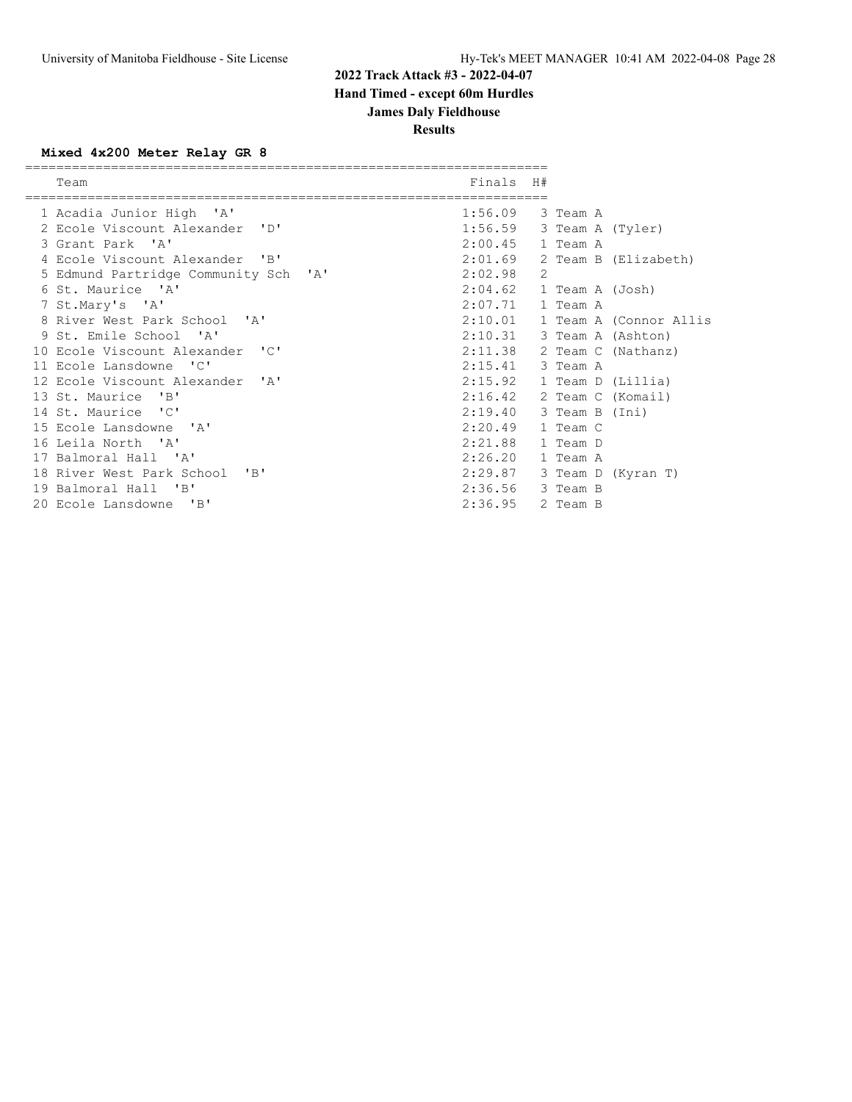**Results**

### **Mixed 4x200 Meter Relay GR 8**

| Team                                 | Finals H# |   |                 |                        |
|--------------------------------------|-----------|---|-----------------|------------------------|
|                                      |           |   |                 |                        |
| 1 Acadia Junior High 'A'             | 1:56.09   |   | 3 Team A        |                        |
| 2 Ecole Viscount Alexander 'D'       | 1:56.59   |   |                 | 3 Team A (Tyler)       |
| 3 Grant Park 'A'                     | 2:00.45   |   | 1 Team A        |                        |
| 4 Ecole Viscount Alexander 'B'       | 2:01.69   |   |                 | 2 Team B (Elizabeth)   |
| 5 Edmund Partridge Community Sch 'A' | 2:02.98   | 2 |                 |                        |
| 6 St. Maurice 'A'                    | 2:04.62   |   | 1 Team A (Josh) |                        |
| 7 St.Mary's 'A'                      | 2:07.71   |   | 1 Team A        |                        |
| 8 River West Park School 'A'         | 2:10.01   |   |                 | 1 Team A (Connor Allis |
| 9 St. Emile School 'A'               | 2:10.31   |   |                 | 3 Team A (Ashton)      |
| 10 Ecole Viscount Alexander 'C'      | 2:11.38   |   |                 | 2 Team C (Nathanz)     |
| 11 Ecole Lansdowne 'C'               | 2:15.41   |   | 3 Team A        |                        |
| 12 Ecole Viscount Alexander 'A'      | 2:15.92   |   |                 | 1 Team D (Lillia)      |
| 13 St. Maurice 'B'                   | 2:16.42   |   |                 | 2 Team C (Komail)      |
| 14 St. Maurice 'C'                   | 2:19.40   |   | 3 Team B (Ini)  |                        |
| 15 Ecole Lansdowne 'A'               | 2:20.49   |   | 1 Team C        |                        |
| 16 Leila North 'A'                   | 2:21.88   |   | 1 Team D        |                        |
| 17 Balmoral Hall 'A'                 | 2:26.20   |   | 1 Team A        |                        |
| 18 River West Park School 'B'        | 2:29.87   |   |                 | 3 Team D (Kyran T)     |
| 19 Balmoral Hall 'B'                 | 2:36.56   |   | 3 Team B        |                        |
| 20 Ecole Lansdowne 'B'               | 2:36.95   |   | 2 Team B        |                        |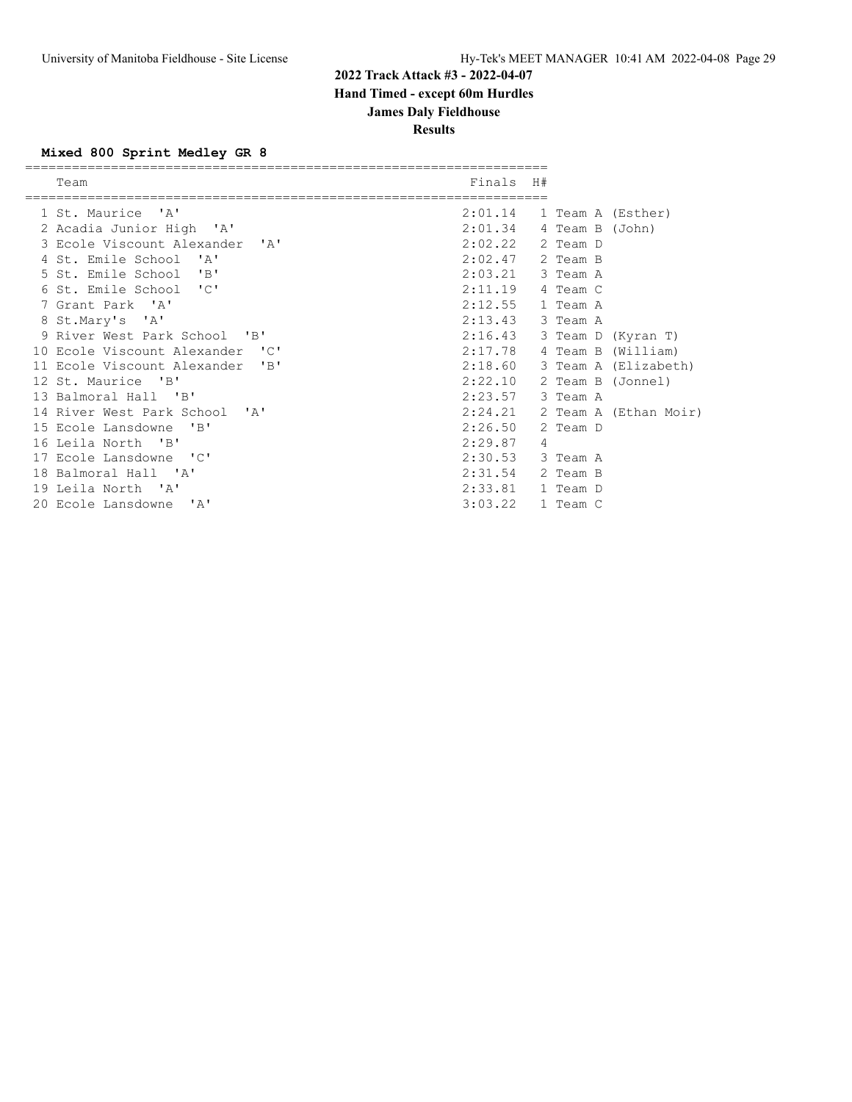**Results**

#### **Mixed 800 Sprint Medley GR 8**

| Team                            | Finals H# |   |          |                             |
|---------------------------------|-----------|---|----------|-----------------------------|
|                                 |           |   |          |                             |
| 1 St. Maurice 'A'               |           |   |          | $2:01.14$ 1 Team A (Esther) |
| 2 Acadia Junior High 'A'        | 2:01.34   |   |          | 4 Team B (John)             |
| 3 Ecole Viscount Alexander 'A'  | 2:02.22   |   | 2 Team D |                             |
| 4 St. Emile School 'A'          | 2:02.47   |   | 2 Team B |                             |
| 5 St. Emile School 'B'          | 2:03.21   |   | 3 Team A |                             |
| 6 St. Emile School 'C'          | 2:11.19   |   | 4 Team C |                             |
| 7 Grant Park 'A'                | 2:12.55   |   | 1 Team A |                             |
| 8 St.Mary's 'A'                 | 2:13.43   |   | 3 Team A |                             |
| 9 River West Park School 'B'    | 2:16.43   |   |          | 3 Team D (Kyran T)          |
| 10 Ecole Viscount Alexander 'C' | 2:17.78   |   |          | 4 Team B (William)          |
| 11 Ecole Viscount Alexander 'B' | 2:18.60   |   |          | 3 Team A (Elizabeth)        |
| 12 St. Maurice 'B'              | 2:22.10   |   |          | 2 Team B (Jonnel)           |
| 13 Balmoral Hall 'B'            | 2:23.57   |   | 3 Team A |                             |
| 14 River West Park School 'A'   | 2:24.21   |   |          | 2 Team A (Ethan Moir)       |
| 15 Ecole Lansdowne 'B'          | 2:26.50   |   | 2 Team D |                             |
| 16 Leila North 'B'              | 2:29.87   | 4 |          |                             |
| 17 Ecole Lansdowne 'C'          | 2:30.53   |   | 3 Team A |                             |
| 18 Balmoral Hall 'A'            | 2:31.54   |   | 2 Team B |                             |
| 19 Leila North 'A'              | 2:33.81   |   | 1 Team D |                             |
| 20 Ecole Lansdowne 'A'          | 3:03.22   |   | 1 Team C |                             |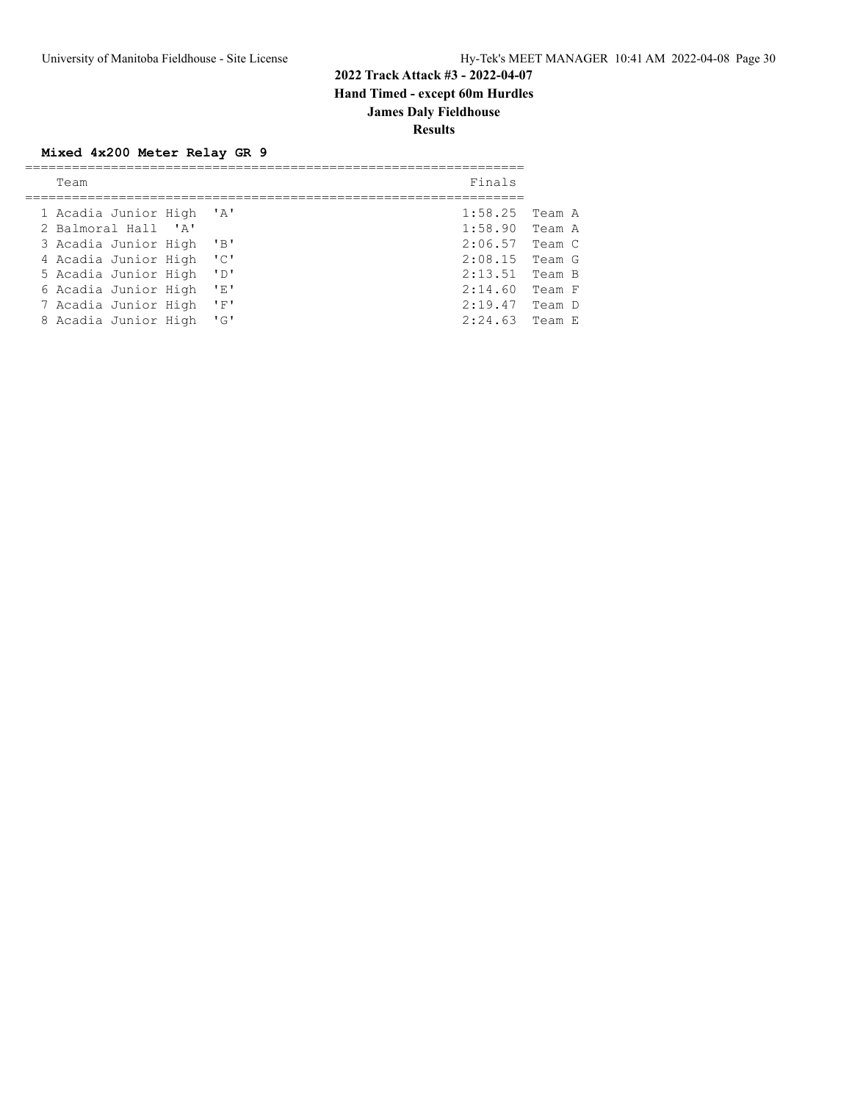### **Mixed 4x200 Meter Relay GR 9**

|  | Team                     |                           | Finals           |        |
|--|--------------------------|---------------------------|------------------|--------|
|  |                          |                           |                  |        |
|  | 1 Acadia Junior High 'A' |                           | 1:58.25          | Team A |
|  | 2 Balmoral Hall 'A'      |                           | $1:58.90$ Team A |        |
|  | 3 Acadia Junior High 'B' |                           | 2:06.57          | Team C |
|  | 4 Acadia Junior High 'C' |                           | $2:08.15$ Team G |        |
|  | 5 Acadia Junior High     | $\overline{D}$            | 2:13.51          | Team B |
|  | 6 Acadia Junior High     | 'E'                       | 2:14.60          | Team F |
|  | 7 Acadia Junior High     | $^{\prime}$ F $^{\prime}$ | 2:19.47          | Team D |
|  | 8 Acadia Junior High     | $\mathsf{F} \mathsf{G}$   | 2:24.63          | Team E |
|  |                          |                           |                  |        |